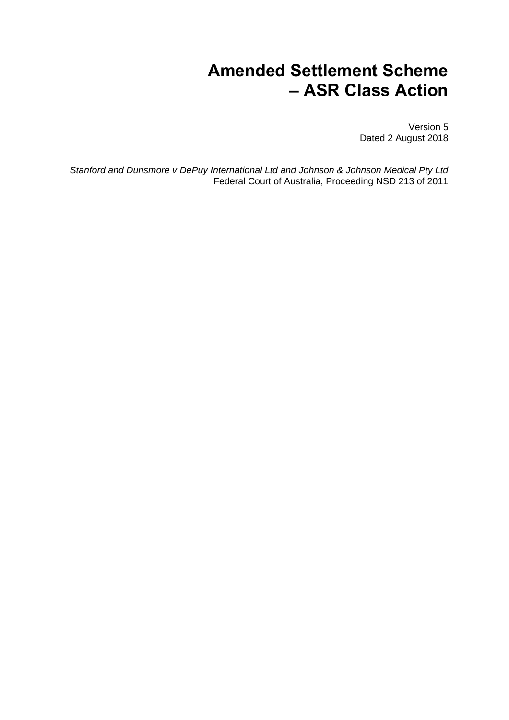# **Amended Settlement Scheme – ASR Class Action**

Version 5 Dated 2 August 2018

*Stanford and Dunsmore v DePuy International Ltd and Johnson & Johnson Medical Pty Ltd* Federal Court of Australia, Proceeding NSD 213 of 2011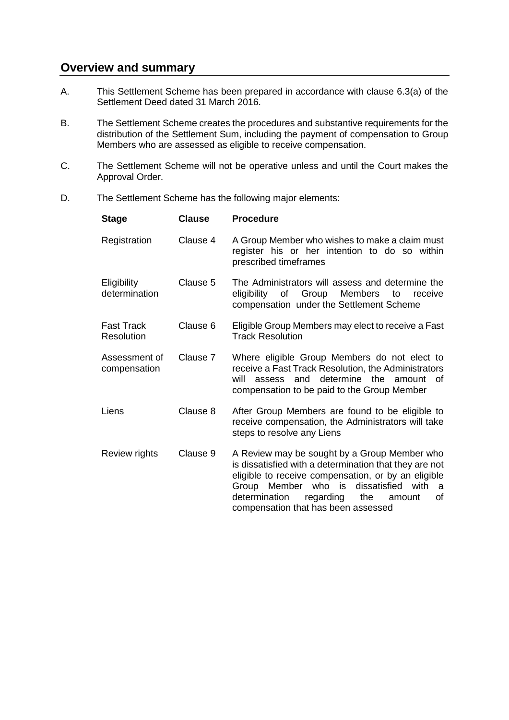## **Overview and summary**

- A. This Settlement Scheme has been prepared in accordance with clause 6.3(a) of the Settlement Deed dated 31 March 2016.
- B. The Settlement Scheme creates the procedures and substantive requirements for the distribution of the Settlement Sum, including the payment of compensation to Group Members who are assessed as eligible to receive compensation.
- C. The Settlement Scheme will not be operative unless and until the Court makes the Approval Order.
- D. The Settlement Scheme has the following major elements:

| <b>Stage</b>                    | <b>Clause</b> | <b>Procedure</b>                                                                                                                                                                                                                                                                                              |
|---------------------------------|---------------|---------------------------------------------------------------------------------------------------------------------------------------------------------------------------------------------------------------------------------------------------------------------------------------------------------------|
| Registration                    | Clause 4      | A Group Member who wishes to make a claim must<br>register his or her intention to do so within<br>prescribed timeframes                                                                                                                                                                                      |
| Eligibility<br>determination    | Clause 5      | The Administrators will assess and determine the<br>eligibility of Group Members to<br>receive<br>compensation under the Settlement Scheme                                                                                                                                                                    |
| <b>Fast Track</b><br>Resolution | Clause 6      | Eligible Group Members may elect to receive a Fast<br><b>Track Resolution</b>                                                                                                                                                                                                                                 |
| Assessment of<br>compensation   | Clause 7      | Where eligible Group Members do not elect to<br>receive a Fast Track Resolution, the Administrators<br>assess and determine the amount<br>will<br>Ωf<br>compensation to be paid to the Group Member                                                                                                           |
| Liens                           | Clause 8      | After Group Members are found to be eligible to<br>receive compensation, the Administrators will take<br>steps to resolve any Liens                                                                                                                                                                           |
| Review rights                   | Clause 9      | A Review may be sought by a Group Member who<br>is dissatisfied with a determination that they are not<br>eligible to receive compensation, or by an eligible<br>Group Member who is<br>dissatisfied<br>with<br>a<br>determination<br>regarding<br>the<br>οf<br>amount<br>compensation that has been assessed |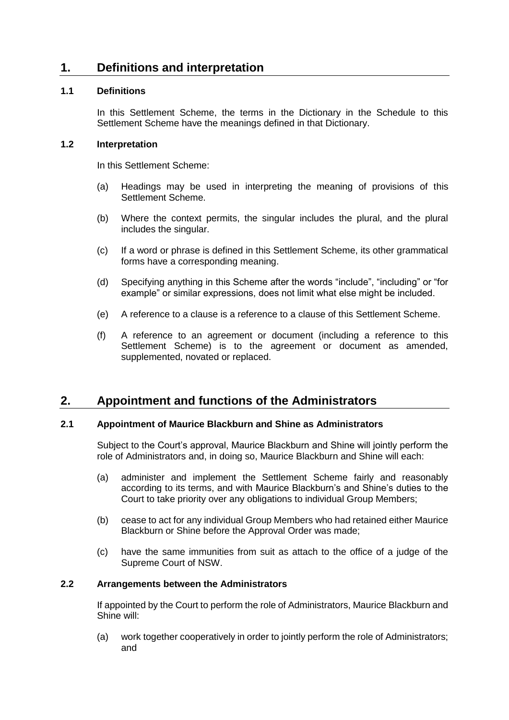## **1. Definitions and interpretation**

## **1.1 Definitions**

In this Settlement Scheme, the terms in the Dictionary in the Schedule to this Settlement Scheme have the meanings defined in that Dictionary.

## **1.2 Interpretation**

In this Settlement Scheme:

- (a) Headings may be used in interpreting the meaning of provisions of this Settlement Scheme.
- (b) Where the context permits, the singular includes the plural, and the plural includes the singular.
- (c) If a word or phrase is defined in this Settlement Scheme, its other grammatical forms have a corresponding meaning.
- (d) Specifying anything in this Scheme after the words "include", "including" or "for example" or similar expressions, does not limit what else might be included.
- (e) A reference to a clause is a reference to a clause of this Settlement Scheme.
- (f) A reference to an agreement or document (including a reference to this Settlement Scheme) is to the agreement or document as amended, supplemented, novated or replaced.

## **2. Appointment and functions of the Administrators**

## <span id="page-2-2"></span>**2.1 Appointment of Maurice Blackburn and Shine as Administrators**

Subject to the Court's approval, Maurice Blackburn and Shine will jointly perform the role of Administrators and, in doing so, Maurice Blackburn and Shine will each:

- <span id="page-2-0"></span>(a) administer and implement the Settlement Scheme fairly and reasonably according to its terms, and with Maurice Blackburn's and Shine's duties to the Court to take priority over any obligations to individual Group Members;
- <span id="page-2-1"></span>(b) cease to act for any individual Group Members who had retained either Maurice Blackburn or Shine before the Approval Order was made;
- (c) have the same immunities from suit as attach to the office of a judge of the Supreme Court of NSW.

## **2.2 Arrangements between the Administrators**

If appointed by the Court to perform the role of Administrators, Maurice Blackburn and Shine will:

(a) work together cooperatively in order to jointly perform the role of Administrators; and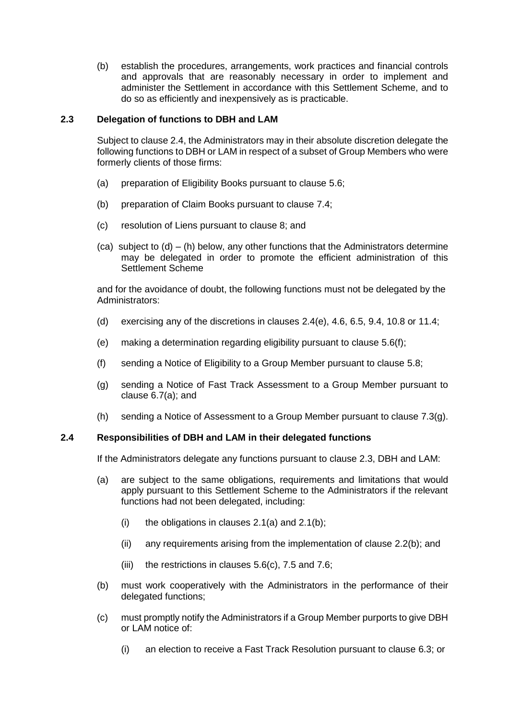<span id="page-3-2"></span>(b) establish the procedures, arrangements, work practices and financial controls and approvals that are reasonably necessary in order to implement and administer the Settlement in accordance with this Settlement Scheme, and to do so as efficiently and inexpensively as is practicable.

## <span id="page-3-1"></span>**2.3 Delegation of functions to DBH and LAM**

Subject to clause [2.4,](#page-3-0) the Administrators may in their absolute discretion delegate the following functions to DBH or LAM in respect of a subset of Group Members who were formerly clients of those firms:

- (a) preparation of Eligibility Books pursuant to clause [5.6;](#page-10-0)
- (b) preparation of Claim Books pursuant to clause [7.4;](#page-16-0)
- (c) resolution of Liens pursuant to clause [8;](#page-18-0) and
- (ca) subject to  $(d) (h)$  below, any other functions that the Administrators determine may be delegated in order to promote the efficient administration of this Settlement Scheme

and for the avoidance of doubt, the following functions must not be delegated by the Administrators:

- (d) exercising any of the discretions in clauses [2.4\(e\),](#page-4-0) [4.6,](#page-6-0) [6.5,](#page-13-0) [9.4,](#page-21-1) [10.8](#page-25-0) or [11.4;](#page-26-0)
- (e) making a determination regarding eligibility pursuant to clause [5.6\(f\);](#page-11-0)
- (f) sending a Notice of Eligibility to a Group Member pursuant to clause [5.8;](#page-12-1)
- (g) sending a Notice of Fast Track Assessment to a Group Member pursuant to clause [6.7\(a\);](#page-13-1) and
- (h) sending a Notice of Assessment to a Group Member pursuant to clause [7.3\(g\).](#page-16-1)

## <span id="page-3-0"></span>**2.4 Responsibilities of DBH and LAM in their delegated functions**

If the Administrators delegate any functions pursuant to clause [2.3,](#page-3-1) DBH and LAM:

- (a) are subject to the same obligations, requirements and limitations that would apply pursuant to this Settlement Scheme to the Administrators if the relevant functions had not been delegated, including:
	- (i) the obligations in clauses  $2.1(a)$  and  $2.1(b)$ ;
	- (ii) any requirements arising from the implementation of clause [2.2\(b\);](#page-3-2) and
	- (iii) the restrictions in clauses  $5.6(c)$ , [7.5](#page-17-0) and [7.6;](#page-17-1)
- (b) must work cooperatively with the Administrators in the performance of their delegated functions;
- (c) must promptly notify the Administrators if a Group Member purports to give DBH or LAM notice of:
	- (i) an election to receive a Fast Track Resolution pursuant to clause [6.3;](#page-13-2) or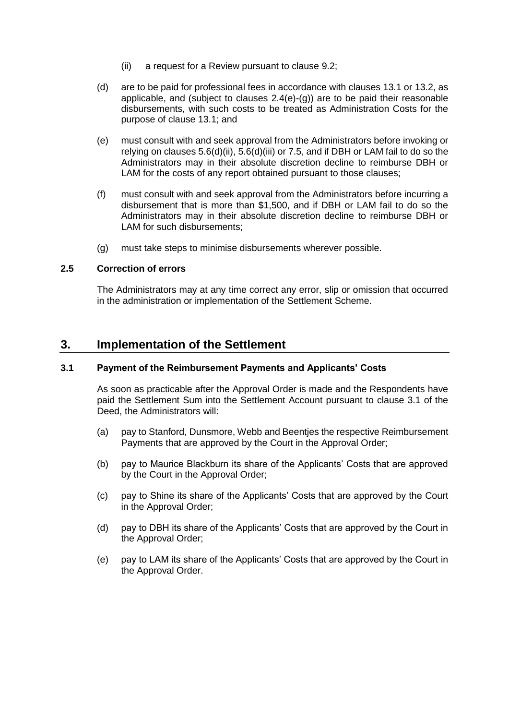- (ii) a request for a Review pursuant to clause [9.2;](#page-21-2)
- (d) are to be paid for professional fees in accordance with clauses 13.1 or [13.2,](#page-30-0) as applicable, and (subject to clauses  $2.4(e)-(q)$ ) are to be paid their reasonable disbursements, with such costs to be treated as Administration Costs for the purpose of clause [13.1;](#page-29-0) and
- <span id="page-4-0"></span>(e) must consult with and seek approval from the Administrators before invoking or relying on clauses  $5.6(d)(ii)$ ,  $5.6(d)(iii)$  or [7.5,](#page-17-0) and if DBH or LAM fail to do so the Administrators may in their absolute discretion decline to reimburse DBH or LAM for the costs of any report obtained pursuant to those clauses;
- (f) must consult with and seek approval from the Administrators before incurring a disbursement that is more than \$1,500, and if DBH or LAM fail to do so the Administrators may in their absolute discretion decline to reimburse DBH or LAM for such disbursements;
- (g) must take steps to minimise disbursements wherever possible.

## <span id="page-4-1"></span>**2.5 Correction of errors**

The Administrators may at any time correct any error, slip or omission that occurred in the administration or implementation of the Settlement Scheme.

## **3. Implementation of the Settlement**

## **3.1 Payment of the Reimbursement Payments and Applicants' Costs**

As soon as practicable after the Approval Order is made and the Respondents have paid the Settlement Sum into the Settlement Account pursuant to clause 3.1 of the Deed, the Administrators will:

- (a) pay to Stanford, Dunsmore, Webb and Beentjes the respective Reimbursement Payments that are approved by the Court in the Approval Order;
- (b) pay to Maurice Blackburn its share of the Applicants' Costs that are approved by the Court in the Approval Order;
- (c) pay to Shine its share of the Applicants' Costs that are approved by the Court in the Approval Order;
- (d) pay to DBH its share of the Applicants' Costs that are approved by the Court in the Approval Order;
- (e) pay to LAM its share of the Applicants' Costs that are approved by the Court in the Approval Order.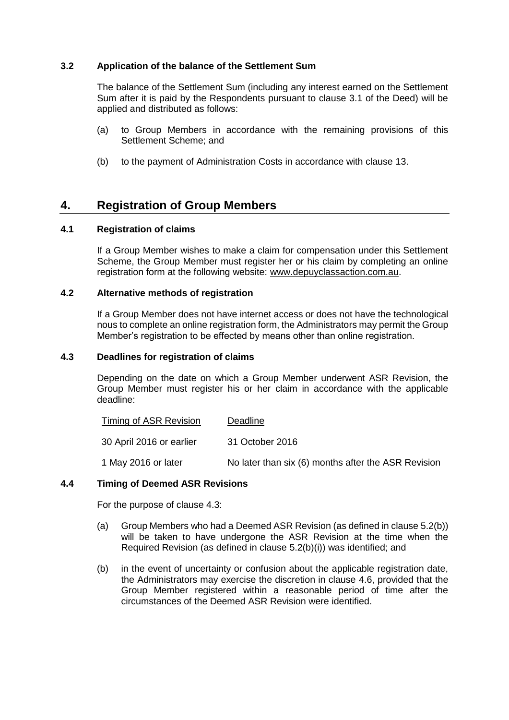## **3.2 Application of the balance of the Settlement Sum**

The balance of the Settlement Sum (including any interest earned on the Settlement Sum after it is paid by the Respondents pursuant to clause 3.1 of the Deed) will be applied and distributed as follows:

- (a) to Group Members in accordance with the remaining provisions of this Settlement Scheme; and
- (b) to the payment of Administration Costs in accordance with clause [13.](#page-29-1)

## <span id="page-5-0"></span>**4. Registration of Group Members**

#### **4.1 Registration of claims**

If a Group Member wishes to make a claim for compensation under this Settlement Scheme, the Group Member must register her or his claim by completing an online registration form at the following website: [www.depuyclassaction.com.au.](http://www.depuyclassaction.com.au/)

#### **4.2 Alternative methods of registration**

If a Group Member does not have internet access or does not have the technological nous to complete an online registration form, the Administrators may permit the Group Member's registration to be effected by means other than online registration.

#### <span id="page-5-1"></span>**4.3 Deadlines for registration of claims**

Depending on the date on which a Group Member underwent ASR Revision, the Group Member must register his or her claim in accordance with the applicable deadline:

| <b>Timing of ASR Revision</b> | Deadline                                            |
|-------------------------------|-----------------------------------------------------|
| 30 April 2016 or earlier      | 31 October 2016                                     |
| 1 May 2016 or later           | No later than six (6) months after the ASR Revision |

#### **4.4 Timing of Deemed ASR Revisions**

For the purpose of clause [4.3:](#page-5-1)

- (a) Group Members who had a Deemed ASR Revision (as defined in clause [5.2\(b\)\)](#page-7-1) will be taken to have undergone the ASR Revision at the time when the Required Revision (as defined in clause [5.2\(b\)\(i\)\)](#page-7-2) was identified; and
- (b) in the event of uncertainty or confusion about the applicable registration date, the Administrators may exercise the discretion in clause [4.6,](#page-6-0) provided that the Group Member registered within a reasonable period of time after the circumstances of the Deemed ASR Revision were identified.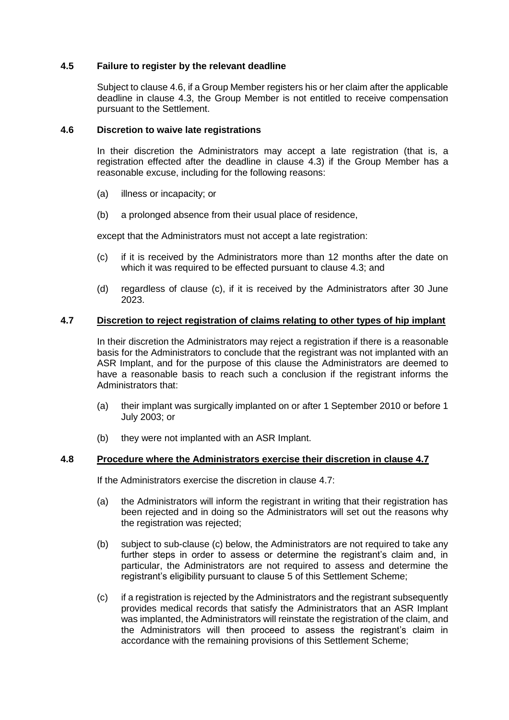## **4.5 Failure to register by the relevant deadline**

Subject to claus[e 4.6,](#page-6-0) if a Group Member registers his or her claim after the applicable deadline in clause [4.3,](#page-5-1) the Group Member is not entitled to receive compensation pursuant to the Settlement.

#### <span id="page-6-0"></span>**4.6 Discretion to waive late registrations**

In their discretion the Administrators may accept a late registration (that is, a registration effected after the deadline in clause [4.3\)](#page-5-1) if the Group Member has a reasonable excuse, including for the following reasons:

- (a) illness or incapacity; or
- (b) a prolonged absence from their usual place of residence,

except that the Administrators must not accept a late registration:

- <span id="page-6-1"></span>(c) if it is received by the Administrators more than 12 months after the date on which it was required to be effected pursuant to clause [4.3;](#page-5-1) and
- (d) regardless of clause [\(c\),](#page-6-1) if it is received by the Administrators after 30 June 2023.

#### <span id="page-6-2"></span>**4.7 Discretion to reject registration of claims relating to other types of hip implant**

In their discretion the Administrators may reject a registration if there is a reasonable basis for the Administrators to conclude that the registrant was not implanted with an ASR Implant, and for the purpose of this clause the Administrators are deemed to have a reasonable basis to reach such a conclusion if the registrant informs the Administrators that:

- (a) their implant was surgically implanted on or after 1 September 2010 or before 1 July 2003; or
- (b) they were not implanted with an ASR Implant.

#### **4.8 Procedure where the Administrators exercise their discretion in clause [4.7](#page-6-2)**

If the Administrators exercise the discretion in clause [4.7:](#page-6-2)

- (a) the Administrators will inform the registrant in writing that their registration has been rejected and in doing so the Administrators will set out the reasons why the registration was rejected;
- (b) subject to sub-clause [\(c\)](#page-6-3) below, the Administrators are not required to take any further steps in order to assess or determine the registrant's claim and, in particular, the Administrators are not required to assess and determine the registrant's eligibility pursuant to clause [5](#page-7-0) of this Settlement Scheme;
- <span id="page-6-3"></span>(c) if a registration is rejected by the Administrators and the registrant subsequently provides medical records that satisfy the Administrators that an ASR Implant was implanted, the Administrators will reinstate the registration of the claim, and the Administrators will then proceed to assess the registrant's claim in accordance with the remaining provisions of this Settlement Scheme;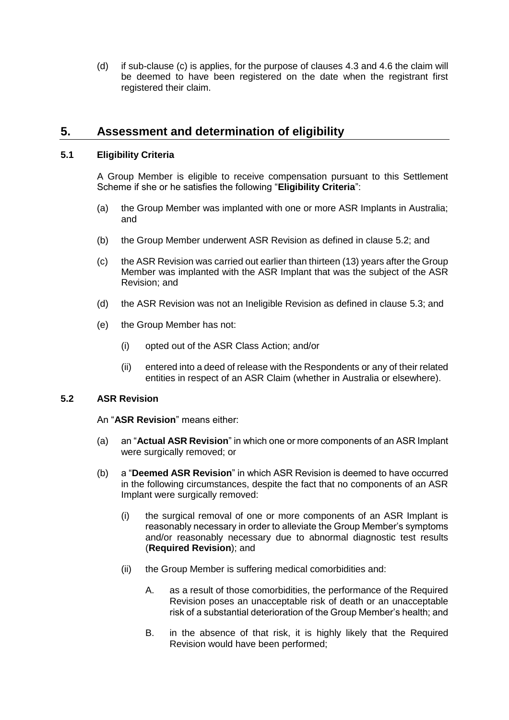(d) if sub-clause [\(c\)](#page-6-3) is applies, for the purpose of clauses [4.3](#page-5-1) and [4.6](#page-6-0) the claim will be deemed to have been registered on the date when the registrant first registered their claim.

## <span id="page-7-0"></span>**5. Assessment and determination of eligibility**

## <span id="page-7-7"></span>**5.1 Eligibility Criteria**

A Group Member is eligible to receive compensation pursuant to this Settlement Scheme if she or he satisfies the following "**Eligibility Criteria**":

- (a) the Group Member was implanted with one or more ASR Implants in Australia; and
- (b) the Group Member underwent ASR Revision as defined in clause [5.2;](#page-7-3) and
- <span id="page-7-5"></span>(c) the ASR Revision was carried out earlier than thirteen (13) years after the Group Member was implanted with the ASR Implant that was the subject of the ASR Revision; and
- <span id="page-7-6"></span>(d) the ASR Revision was not an Ineligible Revision as defined in clause [5.3;](#page-8-0) and
- <span id="page-7-9"></span>(e) the Group Member has not:
	- (i) opted out of the ASR Class Action; and/or
	- (ii) entered into a deed of release with the Respondents or any of their related entities in respect of an ASR Claim (whether in Australia or elsewhere).

## <span id="page-7-8"></span><span id="page-7-3"></span>**5.2 ASR Revision**

An "**ASR Revision**" means either:

- (a) an "**Actual ASR Revision**" in which one or more components of an ASR Implant were surgically removed; or
- <span id="page-7-4"></span><span id="page-7-2"></span><span id="page-7-1"></span>(b) a "**Deemed ASR Revision**" in which ASR Revision is deemed to have occurred in the following circumstances, despite the fact that no components of an ASR Implant were surgically removed:
	- (i) the surgical removal of one or more components of an ASR Implant is reasonably necessary in order to alleviate the Group Member's symptoms and/or reasonably necessary due to abnormal diagnostic test results (**Required Revision**); and
	- (ii) the Group Member is suffering medical comorbidities and:
		- A. as a result of those comorbidities, the performance of the Required Revision poses an unacceptable risk of death or an unacceptable risk of a substantial deterioration of the Group Member's health; and
		- B. in the absence of that risk, it is highly likely that the Required Revision would have been performed;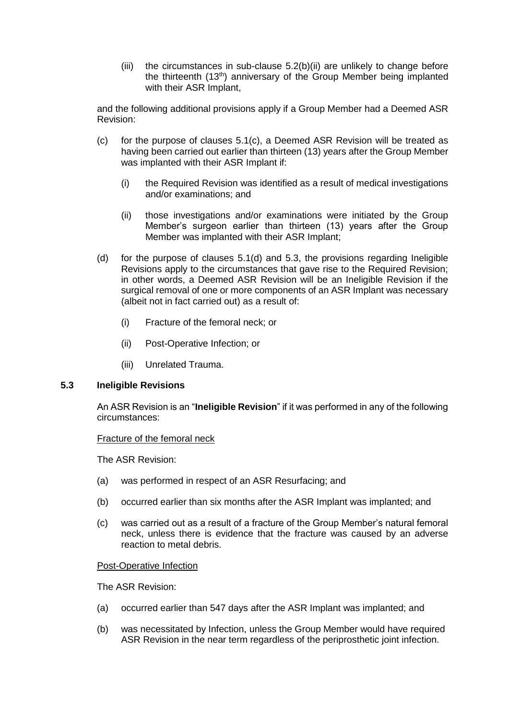(iii) the circumstances in sub-clause [5.2\(b\)](#page-7-3)[\(ii\)](#page-7-4) are unlikely to change before the thirteenth (13<sup>th</sup>) anniversary of the Group Member being implanted with their ASR Implant,

and the following additional provisions apply if a Group Member had a Deemed ASR Revision:

- (c) for the purpose of clauses  $5.1(c)$ , a Deemed ASR Revision will be treated as having been carried out earlier than thirteen (13) years after the Group Member was implanted with their ASR Implant if:
	- (i) the Required Revision was identified as a result of medical investigations and/or examinations; and
	- (ii) those investigations and/or examinations were initiated by the Group Member's surgeon earlier than thirteen (13) years after the Group Member was implanted with their ASR Implant;
- (d) for the purpose of clauses [5.1\(d\)](#page-7-6) and [5.3,](#page-8-0) the provisions regarding Ineligible Revisions apply to the circumstances that gave rise to the Required Revision; in other words, a Deemed ASR Revision will be an Ineligible Revision if the surgical removal of one or more components of an ASR Implant was necessary (albeit not in fact carried out) as a result of:
	- (i) Fracture of the femoral neck; or
	- (ii) Post-Operative Infection; or
	- (iii) Unrelated Trauma.

## <span id="page-8-0"></span>**5.3 Ineligible Revisions**

An ASR Revision is an "**Ineligible Revision**" if it was performed in any of the following circumstances:

## Fracture of the femoral neck

The ASR Revision:

- (a) was performed in respect of an ASR Resurfacing; and
- (b) occurred earlier than six months after the ASR Implant was implanted; and
- (c) was carried out as a result of a fracture of the Group Member's natural femoral neck, unless there is evidence that the fracture was caused by an adverse reaction to metal debris.

## Post-Operative Infection

The ASR Revision:

- (a) occurred earlier than 547 days after the ASR Implant was implanted; and
- (b) was necessitated by Infection, unless the Group Member would have required ASR Revision in the near term regardless of the periprosthetic joint infection.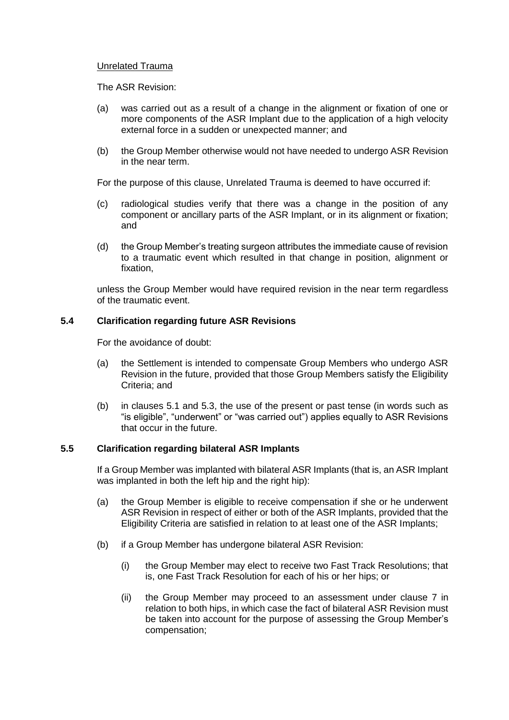#### Unrelated Trauma

The ASR Revision:

- (a) was carried out as a result of a change in the alignment or fixation of one or more components of the ASR Implant due to the application of a high velocity external force in a sudden or unexpected manner; and
- (b) the Group Member otherwise would not have needed to undergo ASR Revision in the near term.

For the purpose of this clause, Unrelated Trauma is deemed to have occurred if:

- (c) radiological studies verify that there was a change in the position of any component or ancillary parts of the ASR Implant, or in its alignment or fixation; and
- (d) the Group Member's treating surgeon attributes the immediate cause of revision to a traumatic event which resulted in that change in position, alignment or fixation,

unless the Group Member would have required revision in the near term regardless of the traumatic event.

#### **5.4 Clarification regarding future ASR Revisions**

For the avoidance of doubt:

- (a) the Settlement is intended to compensate Group Members who undergo ASR Revision in the future, provided that those Group Members satisfy the Eligibility Criteria; and
- (b) in clauses [5.1](#page-7-7) and [5.3,](#page-8-0) the use of the present or past tense (in words such as "is eligible", "underwent" or "was carried out") applies equally to ASR Revisions that occur in the future.

#### <span id="page-9-0"></span>**5.5 Clarification regarding bilateral ASR Implants**

If a Group Member was implanted with bilateral ASR Implants (that is, an ASR Implant was implanted in both the left hip and the right hip):

- (a) the Group Member is eligible to receive compensation if she or he underwent ASR Revision in respect of either or both of the ASR Implants, provided that the Eligibility Criteria are satisfied in relation to at least one of the ASR Implants;
- (b) if a Group Member has undergone bilateral ASR Revision:
	- (i) the Group Member may elect to receive two Fast Track Resolutions; that is, one Fast Track Resolution for each of his or her hips; or
	- (ii) the Group Member may proceed to an assessment under clause [7](#page-15-0) in relation to both hips, in which case the fact of bilateral ASR Revision must be taken into account for the purpose of assessing the Group Member's compensation;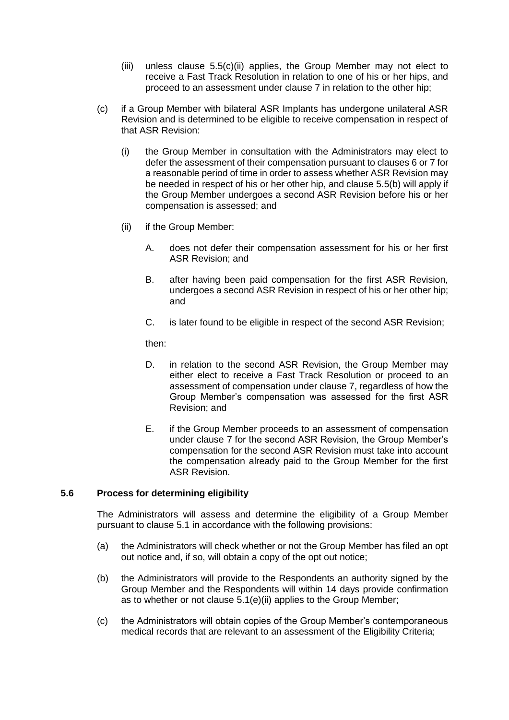- (iii) unless clause [5.5\(c\)\(ii\)](#page-9-0) applies, the Group Member may not elect to receive a Fast Track Resolution in relation to one of his or her hips, and proceed to an assessment under clause [7](#page-15-0) in relation to the other hip;
- (c) if a Group Member with bilateral ASR Implants has undergone unilateral ASR Revision and is determined to be eligible to receive compensation in respect of that ASR Revision:
	- (i) the Group Member in consultation with the Administrators may elect to defer the assessment of their compensation pursuant to clauses [6](#page-12-0) or [7](#page-15-0) for a reasonable period of time in order to assess whether ASR Revision may be needed in respect of his or her other hip, and clause [5.5\(b\)](#page-9-0) will apply if the Group Member undergoes a second ASR Revision before his or her compensation is assessed; and
	- (ii) if the Group Member:
		- A. does not defer their compensation assessment for his or her first ASR Revision; and
		- B. after having been paid compensation for the first ASR Revision, undergoes a second ASR Revision in respect of his or her other hip; and
		- C. is later found to be eligible in respect of the second ASR Revision;

then:

- D. in relation to the second ASR Revision, the Group Member may either elect to receive a Fast Track Resolution or proceed to an assessment of compensation under clause [7,](#page-15-0) regardless of how the Group Member's compensation was assessed for the first ASR Revision; and
- E. if the Group Member proceeds to an assessment of compensation under clause [7](#page-15-0) for the second ASR Revision, the Group Member's compensation for the second ASR Revision must take into account the compensation already paid to the Group Member for the first ASR Revision.

## <span id="page-10-0"></span>**5.6 Process for determining eligibility**

The Administrators will assess and determine the eligibility of a Group Member pursuant to clause [5.1](#page-7-7) in accordance with the following provisions:

- <span id="page-10-2"></span>(a) the Administrators will check whether or not the Group Member has filed an opt out notice and, if so, will obtain a copy of the opt out notice;
- <span id="page-10-3"></span>(b) the Administrators will provide to the Respondents an authority signed by the Group Member and the Respondents will within 14 days provide confirmation as to whether or not clause [5.1\(e\)\(ii\)](#page-7-8) applies to the Group Member;
- <span id="page-10-1"></span>(c) the Administrators will obtain copies of the Group Member's contemporaneous medical records that are relevant to an assessment of the Eligibility Criteria;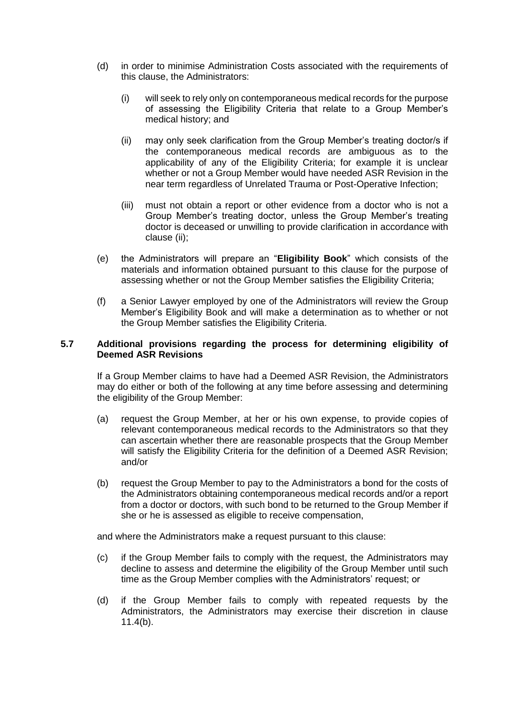- <span id="page-11-1"></span>(d) in order to minimise Administration Costs associated with the requirements of this clause, the Administrators:
	- (i) will seek to rely only on contemporaneous medical records for the purpose of assessing the Eligibility Criteria that relate to a Group Member's medical history; and
	- (ii) may only seek clarification from the Group Member's treating doctor/s if the contemporaneous medical records are ambiguous as to the applicability of any of the Eligibility Criteria; for example it is unclear whether or not a Group Member would have needed ASR Revision in the near term regardless of Unrelated Trauma or Post-Operative Infection;
	- (iii) must not obtain a report or other evidence from a doctor who is not a Group Member's treating doctor, unless the Group Member's treating doctor is deceased or unwilling to provide clarification in accordance with clause [\(ii\);](#page-11-1)
- <span id="page-11-3"></span><span id="page-11-2"></span>(e) the Administrators will prepare an "**Eligibility Book**" which consists of the materials and information obtained pursuant to this clause for the purpose of assessing whether or not the Group Member satisfies the Eligibility Criteria;
- <span id="page-11-0"></span>(f) a Senior Lawyer employed by one of the Administrators will review the Group Member's Eligibility Book and will make a determination as to whether or not the Group Member satisfies the Eligibility Criteria.

#### **5.7 Additional provisions regarding the process for determining eligibility of Deemed ASR Revisions**

If a Group Member claims to have had a Deemed ASR Revision, the Administrators may do either or both of the following at any time before assessing and determining the eligibility of the Group Member:

- (a) request the Group Member, at her or his own expense, to provide copies of relevant contemporaneous medical records to the Administrators so that they can ascertain whether there are reasonable prospects that the Group Member will satisfy the Eligibility Criteria for the definition of a Deemed ASR Revision; and/or
- (b) request the Group Member to pay to the Administrators a bond for the costs of the Administrators obtaining contemporaneous medical records and/or a report from a doctor or doctors, with such bond to be returned to the Group Member if she or he is assessed as eligible to receive compensation,

and where the Administrators make a request pursuant to this clause:

- (c) if the Group Member fails to comply with the request, the Administrators may decline to assess and determine the eligibility of the Group Member until such time as the Group Member complies with the Administrators' request; or
- (d) if the Group Member fails to comply with repeated requests by the Administrators, the Administrators may exercise their discretion in clause [11.4\(b\).](#page-27-0)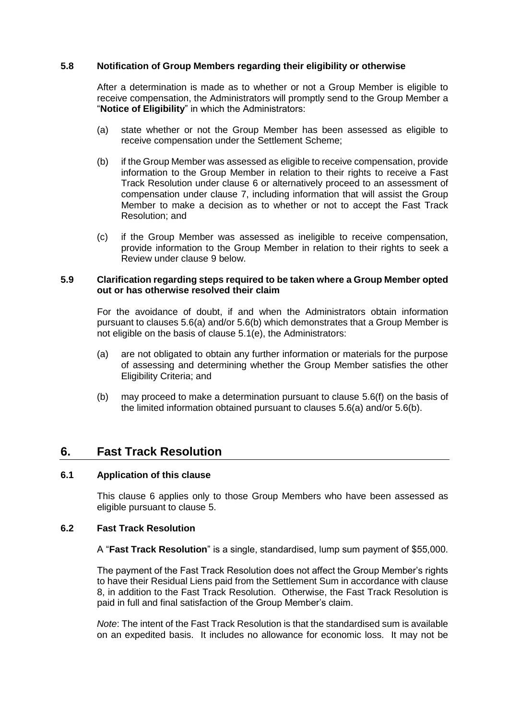### <span id="page-12-1"></span>**5.8 Notification of Group Members regarding their eligibility or otherwise**

After a determination is made as to whether or not a Group Member is eligible to receive compensation, the Administrators will promptly send to the Group Member a "**Notice of Eligibility**" in which the Administrators:

- (a) state whether or not the Group Member has been assessed as eligible to receive compensation under the Settlement Scheme;
- (b) if the Group Member was assessed as eligible to receive compensation, provide information to the Group Member in relation to their rights to receive a Fast Track Resolution under clause [6](#page-12-0) or alternatively proceed to an assessment of compensation under clause [7,](#page-15-0) including information that will assist the Group Member to make a decision as to whether or not to accept the Fast Track Resolution; and
- (c) if the Group Member was assessed as ineligible to receive compensation, provide information to the Group Member in relation to their rights to seek a Review under clause [9](#page-21-0) below.

#### **5.9 Clarification regarding steps required to be taken where a Group Member opted out or has otherwise resolved their claim**

For the avoidance of doubt, if and when the Administrators obtain information pursuant to clauses [5.6\(a\)](#page-10-2) and/or [5.6\(b\)](#page-10-3) which demonstrates that a Group Member is not eligible on the basis of clause [5.1\(e\),](#page-7-9) the Administrators:

- (a) are not obligated to obtain any further information or materials for the purpose of assessing and determining whether the Group Member satisfies the other Eligibility Criteria; and
- (b) may proceed to make a determination pursuant to clause [5.6\(f\)](#page-11-0) on the basis of the limited information obtained pursuant to clauses [5.6\(a\)](#page-10-2) and/or [5.6\(b\).](#page-10-3)

## <span id="page-12-0"></span>**6. Fast Track Resolution**

#### <span id="page-12-2"></span>**6.1 Application of this clause**

This clause [6](#page-12-0) applies only to those Group Members who have been assessed as eligible pursuant to clause [5.](#page-7-0)

## **6.2 Fast Track Resolution**

A "**Fast Track Resolution**" is a single, standardised, lump sum payment of \$55,000.

The payment of the Fast Track Resolution does not affect the Group Member's rights to have their Residual Liens paid from the Settlement Sum in accordance with clause [8,](#page-18-0) in addition to the Fast Track Resolution. Otherwise, the Fast Track Resolution is paid in full and final satisfaction of the Group Member's claim.

*Note*: The intent of the Fast Track Resolution is that the standardised sum is available on an expedited basis. It includes no allowance for economic loss. It may not be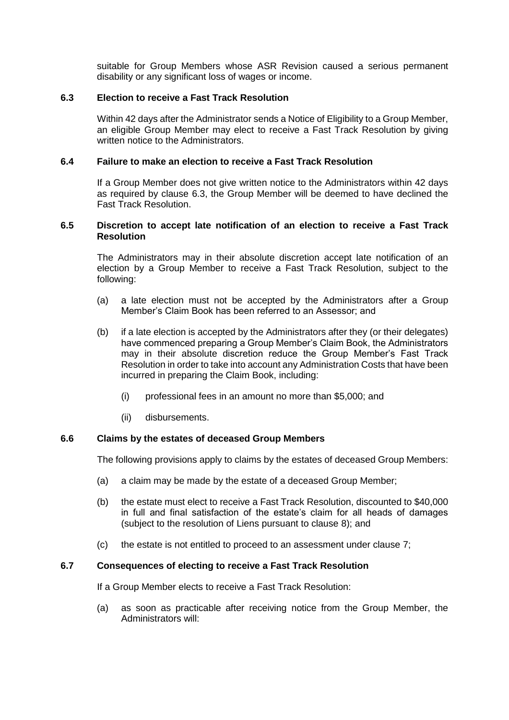suitable for Group Members whose ASR Revision caused a serious permanent disability or any significant loss of wages or income.

### <span id="page-13-2"></span>**6.3 Election to receive a Fast Track Resolution**

Within 42 days after the Administrator sends a Notice of Eligibility to a Group Member, an eligible Group Member may elect to receive a Fast Track Resolution by giving written notice to the Administrators.

#### **6.4 Failure to make an election to receive a Fast Track Resolution**

If a Group Member does not give written notice to the Administrators within 42 days as required by clause [6.3,](#page-13-2) the Group Member will be deemed to have declined the Fast Track Resolution.

#### <span id="page-13-0"></span>**6.5 Discretion to accept late notification of an election to receive a Fast Track Resolution**

The Administrators may in their absolute discretion accept late notification of an election by a Group Member to receive a Fast Track Resolution, subject to the following:

- (a) a late election must not be accepted by the Administrators after a Group Member's Claim Book has been referred to an Assessor; and
- (b) if a late election is accepted by the Administrators after they (or their delegates) have commenced preparing a Group Member's Claim Book, the Administrators may in their absolute discretion reduce the Group Member's Fast Track Resolution in order to take into account any Administration Costs that have been incurred in preparing the Claim Book, including:
	- (i) professional fees in an amount no more than \$5,000; and
	- (ii) disbursements.

#### **6.6 Claims by the estates of deceased Group Members**

The following provisions apply to claims by the estates of deceased Group Members:

- (a) a claim may be made by the estate of a deceased Group Member;
- (b) the estate must elect to receive a Fast Track Resolution, discounted to \$40,000 in full and final satisfaction of the estate's claim for all heads of damages (subject to the resolution of Liens pursuant to clause [8\)](#page-18-0); and
- (c) the estate is not entitled to proceed to an assessment under clause [7;](#page-15-0)

## <span id="page-13-1"></span>**6.7 Consequences of electing to receive a Fast Track Resolution**

If a Group Member elects to receive a Fast Track Resolution:

(a) as soon as practicable after receiving notice from the Group Member, the Administrators will: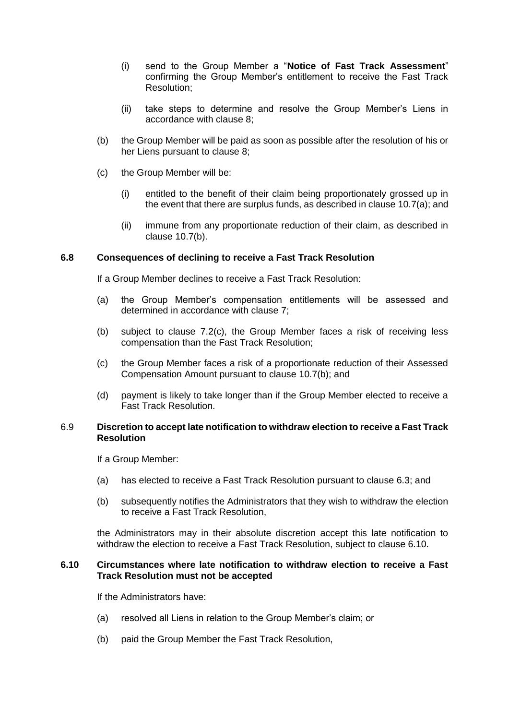- <span id="page-14-0"></span>(i) send to the Group Member a "**Notice of Fast Track Assessment**" confirming the Group Member's entitlement to receive the Fast Track Resolution;
- (ii) take steps to determine and resolve the Group Member's Liens in accordance with clause [8;](#page-18-0)
- (b) the Group Member will be paid as soon as possible after the resolution of his or her Liens pursuant to clause [8;](#page-18-0)
- (c) the Group Member will be:
	- (i) entitled to the benefit of their claim being proportionately grossed up in the event that there are surplus funds, as described in clause [10.7\(a\);](#page-25-1) and
	- (ii) immune from any proportionate reduction of their claim, as described in clause [10.7\(b\).](#page-25-2)

## **6.8 Consequences of declining to receive a Fast Track Resolution**

If a Group Member declines to receive a Fast Track Resolution:

- (a) the Group Member's compensation entitlements will be assessed and determined in accordance with clause [7;](#page-15-0)
- (b) subject to clause [7.2\(c\),](#page-15-1) the Group Member faces a risk of receiving less compensation than the Fast Track Resolution;
- (c) the Group Member faces a risk of a proportionate reduction of their Assessed Compensation Amount pursuant to clause [10.7\(b\);](#page-25-2) and
- (d) payment is likely to take longer than if the Group Member elected to receive a Fast Track Resolution.

#### 6.9 **Discretion to accept late notification to withdraw election to receive a Fast Track Resolution**

If a Group Member:

- (a) has elected to receive a Fast Track Resolution pursuant to clause 6.3; and
- (b) subsequently notifies the Administrators that they wish to withdraw the election to receive a Fast Track Resolution,

the Administrators may in their absolute discretion accept this late notification to withdraw the election to receive a Fast Track Resolution, subject to clause 6.10.

#### **6.10 Circumstances where late notification to withdraw election to receive a Fast Track Resolution must not be accepted**

If the Administrators have:

- (a) resolved all Liens in relation to the Group Member's claim; or
- (b) paid the Group Member the Fast Track Resolution,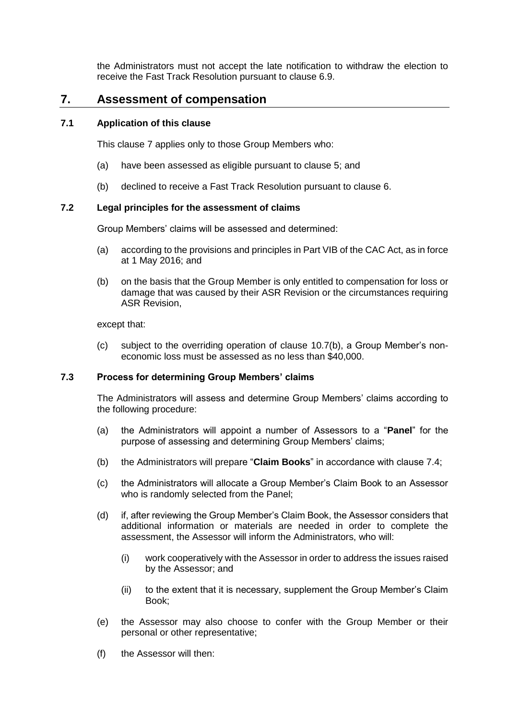the Administrators must not accept the late notification to withdraw the election to receive the Fast Track Resolution pursuant to clause 6.9.

## <span id="page-15-0"></span>**7. Assessment of compensation**

## **7.1 Application of this clause**

This clause [7](#page-15-0) applies only to those Group Members who:

- (a) have been assessed as eligible pursuant to clause [5;](#page-7-0) and
- (b) declined to receive a Fast Track Resolution pursuant to clause [6.](#page-12-0)

## <span id="page-15-4"></span>**7.2 Legal principles for the assessment of claims**

Group Members' claims will be assessed and determined:

- (a) according to the provisions and principles in Part VIB of the CAC Act, as in force at 1 May 2016; and
- (b) on the basis that the Group Member is only entitled to compensation for loss or damage that was caused by their ASR Revision or the circumstances requiring ASR Revision,

except that:

<span id="page-15-1"></span>(c) subject to the overriding operation of clause [10.7\(b\),](#page-25-2) a Group Member's noneconomic loss must be assessed as no less than \$40,000.

## <span id="page-15-5"></span>**7.3 Process for determining Group Members' claims**

The Administrators will assess and determine Group Members' claims according to the following procedure:

- <span id="page-15-2"></span>(a) the Administrators will appoint a number of Assessors to a "**Panel**" for the purpose of assessing and determining Group Members' claims;
- (b) the Administrators will prepare "**Claim Books**" in accordance with clause [7.4;](#page-16-0)
- (c) the Administrators will allocate a Group Member's Claim Book to an Assessor who is randomly selected from the Panel;
- (d) if, after reviewing the Group Member's Claim Book, the Assessor considers that additional information or materials are needed in order to complete the assessment, the Assessor will inform the Administrators, who will:
	- (i) work cooperatively with the Assessor in order to address the issues raised by the Assessor; and
	- (ii) to the extent that it is necessary, supplement the Group Member's Claim Book;
- (e) the Assessor may also choose to confer with the Group Member or their personal or other representative;
- <span id="page-15-3"></span>(f) the Assessor will then: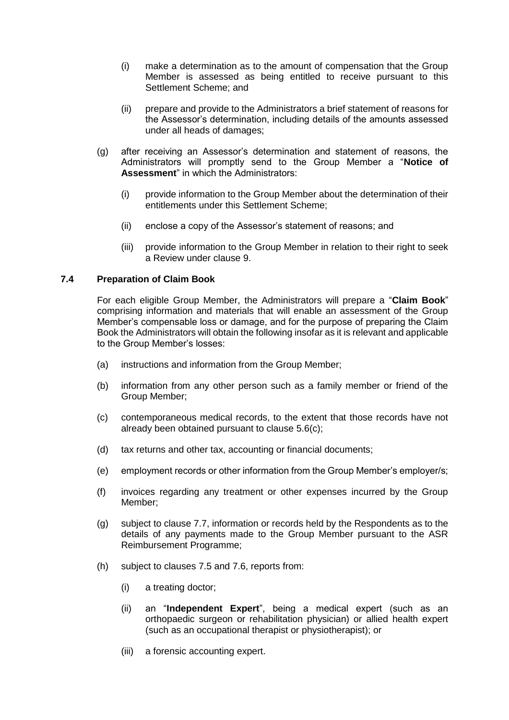- (i) make a determination as to the amount of compensation that the Group Member is assessed as being entitled to receive pursuant to this Settlement Scheme; and
- (ii) prepare and provide to the Administrators a brief statement of reasons for the Assessor's determination, including details of the amounts assessed under all heads of damages;
- <span id="page-16-1"></span>(g) after receiving an Assessor's determination and statement of reasons, the Administrators will promptly send to the Group Member a "**Notice of Assessment**" in which the Administrators:
	- (i) provide information to the Group Member about the determination of their entitlements under this Settlement Scheme;
	- (ii) enclose a copy of the Assessor's statement of reasons; and
	- (iii) provide information to the Group Member in relation to their right to seek a Review under clause [9.](#page-21-0)

#### <span id="page-16-0"></span>**7.4 Preparation of Claim Book**

For each eligible Group Member, the Administrators will prepare a "**Claim Book**" comprising information and materials that will enable an assessment of the Group Member's compensable loss or damage, and for the purpose of preparing the Claim Book the Administrators will obtain the following insofar as it is relevant and applicable to the Group Member's losses:

- (a) instructions and information from the Group Member;
- (b) information from any other person such as a family member or friend of the Group Member;
- (c) contemporaneous medical records, to the extent that those records have not already been obtained pursuant to clause [5.6\(c\);](#page-10-1)
- (d) tax returns and other tax, accounting or financial documents;
- (e) employment records or other information from the Group Member's employer/s;
- (f) invoices regarding any treatment or other expenses incurred by the Group Member;
- <span id="page-16-3"></span>(g) subject to clause [7.7,](#page-17-2) information or records held by the Respondents as to the details of any payments made to the Group Member pursuant to the ASR Reimbursement Programme;
- <span id="page-16-4"></span><span id="page-16-2"></span>(h) subject to clauses [7.5](#page-17-0) and [7.6,](#page-17-1) reports from:
	- (i) a treating doctor;
	- (ii) an "**Independent Expert**", being a medical expert (such as an orthopaedic surgeon or rehabilitation physician) or allied health expert (such as an occupational therapist or physiotherapist); or
	- (iii) a forensic accounting expert.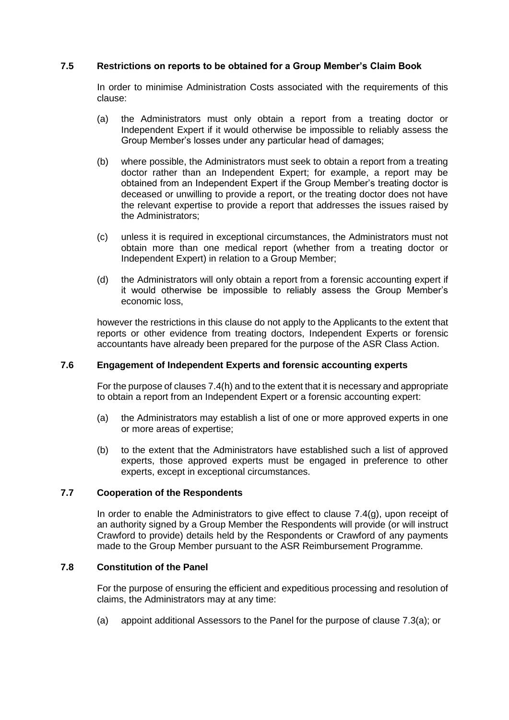## <span id="page-17-0"></span>**7.5 Restrictions on reports to be obtained for a Group Member's Claim Book**

In order to minimise Administration Costs associated with the requirements of this clause:

- (a) the Administrators must only obtain a report from a treating doctor or Independent Expert if it would otherwise be impossible to reliably assess the Group Member's losses under any particular head of damages;
- (b) where possible, the Administrators must seek to obtain a report from a treating doctor rather than an Independent Expert; for example, a report may be obtained from an Independent Expert if the Group Member's treating doctor is deceased or unwilling to provide a report, or the treating doctor does not have the relevant expertise to provide a report that addresses the issues raised by the Administrators;
- (c) unless it is required in exceptional circumstances, the Administrators must not obtain more than one medical report (whether from a treating doctor or Independent Expert) in relation to a Group Member;
- (d) the Administrators will only obtain a report from a forensic accounting expert if it would otherwise be impossible to reliably assess the Group Member's economic loss,

however the restrictions in this clause do not apply to the Applicants to the extent that reports or other evidence from treating doctors, Independent Experts or forensic accountants have already been prepared for the purpose of the ASR Class Action.

## <span id="page-17-1"></span>**7.6 Engagement of Independent Experts and forensic accounting experts**

For the purpose of clause[s 7.4\(h\)](#page-16-2) and to the extent that it is necessary and appropriate to obtain a report from an Independent Expert or a forensic accounting expert:

- (a) the Administrators may establish a list of one or more approved experts in one or more areas of expertise;
- (b) to the extent that the Administrators have established such a list of approved experts, those approved experts must be engaged in preference to other experts, except in exceptional circumstances.

#### <span id="page-17-2"></span>**7.7 Cooperation of the Respondents**

In order to enable the Administrators to give effect to clause [7.4\(g\),](#page-16-3) upon receipt of an authority signed by a Group Member the Respondents will provide (or will instruct Crawford to provide) details held by the Respondents or Crawford of any payments made to the Group Member pursuant to the ASR Reimbursement Programme.

### **7.8 Constitution of the Panel**

For the purpose of ensuring the efficient and expeditious processing and resolution of claims, the Administrators may at any time:

(a) appoint additional Assessors to the Panel for the purpose of clause [7.3\(a\);](#page-15-2) or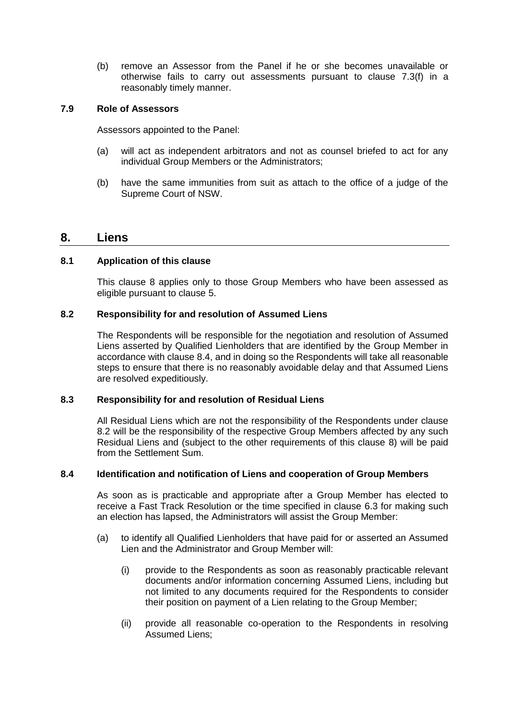(b) remove an Assessor from the Panel if he or she becomes unavailable or otherwise fails to carry out assessments pursuant to clause [7.3\(f\)](#page-15-3) in a reasonably timely manner.

## **7.9 Role of Assessors**

Assessors appointed to the Panel:

- (a) will act as independent arbitrators and not as counsel briefed to act for any individual Group Members or the Administrators;
- (b) have the same immunities from suit as attach to the office of a judge of the Supreme Court of NSW.

## <span id="page-18-0"></span>**8. Liens**

#### **8.1 Application of this clause**

This clause [8](#page-18-0) applies only to those Group Members who have been assessed as eligible pursuant to clause [5.](#page-7-0)

#### <span id="page-18-2"></span>**8.2 Responsibility for and resolution of Assumed Liens**

The Respondents will be responsible for the negotiation and resolution of Assumed Liens asserted by Qualified Lienholders that are identified by the Group Member in accordance with clause [8.4,](#page-18-1) and in doing so the Respondents will take all reasonable steps to ensure that there is no reasonably avoidable delay and that Assumed Liens are resolved expeditiously.

#### **8.3 Responsibility for and resolution of Residual Liens**

All Residual Liens which are not the responsibility of the Respondents under clause [8.2](#page-18-2) will be the responsibility of the respective Group Members affected by any such Residual Liens and (subject to the other requirements of this clause [8\)](#page-18-0) will be paid from the Settlement Sum.

## <span id="page-18-1"></span>**8.4 Identification and notification of Liens and cooperation of Group Members**

As soon as is practicable and appropriate after a Group Member has elected to receive a Fast Track Resolution or the time specified in clause [6.3](#page-13-2) for making such an election has lapsed, the Administrators will assist the Group Member:

- (a) to identify all Qualified Lienholders that have paid for or asserted an Assumed Lien and the Administrator and Group Member will:
	- (i) provide to the Respondents as soon as reasonably practicable relevant documents and/or information concerning Assumed Liens, including but not limited to any documents required for the Respondents to consider their position on payment of a Lien relating to the Group Member;
	- (ii) provide all reasonable co-operation to the Respondents in resolving Assumed Liens;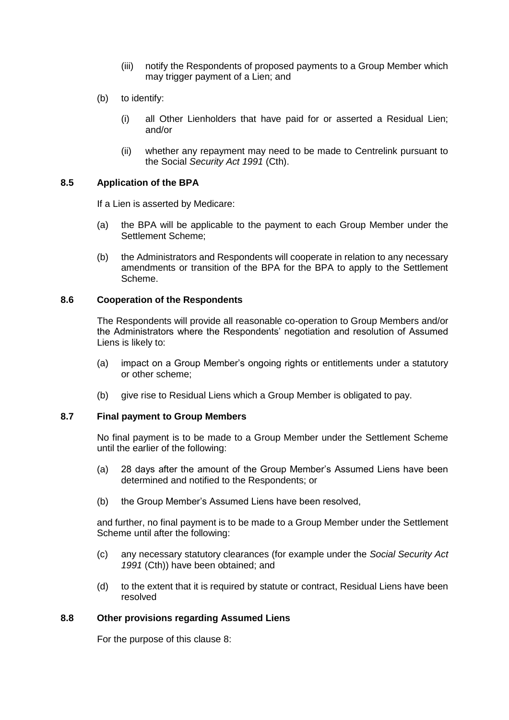- (iii) notify the Respondents of proposed payments to a Group Member which may trigger payment of a Lien; and
- (b) to identify:
	- (i) all Other Lienholders that have paid for or asserted a Residual Lien; and/or
	- (ii) whether any repayment may need to be made to Centrelink pursuant to the Social *Security Act 1991* (Cth).

#### **8.5 Application of the BPA**

If a Lien is asserted by Medicare:

- (a) the BPA will be applicable to the payment to each Group Member under the Settlement Scheme;
- (b) the Administrators and Respondents will cooperate in relation to any necessary amendments or transition of the BPA for the BPA to apply to the Settlement Scheme.

#### **8.6 Cooperation of the Respondents**

The Respondents will provide all reasonable co-operation to Group Members and/or the Administrators where the Respondents' negotiation and resolution of Assumed Liens is likely to:

- (a) impact on a Group Member's ongoing rights or entitlements under a statutory or other scheme;
- (b) give rise to Residual Liens which a Group Member is obligated to pay.

#### **8.7 Final payment to Group Members**

No final payment is to be made to a Group Member under the Settlement Scheme until the earlier of the following:

- (a) 28 days after the amount of the Group Member's Assumed Liens have been determined and notified to the Respondents; or
- (b) the Group Member's Assumed Liens have been resolved,

and further, no final payment is to be made to a Group Member under the Settlement Scheme until after the following:

- (c) any necessary statutory clearances (for example under the *Social Security Act 1991* (Cth)) have been obtained; and
- (d) to the extent that it is required by statute or contract, Residual Liens have been resolved

## **8.8 Other provisions regarding Assumed Liens**

For the purpose of this clause [8:](#page-18-0)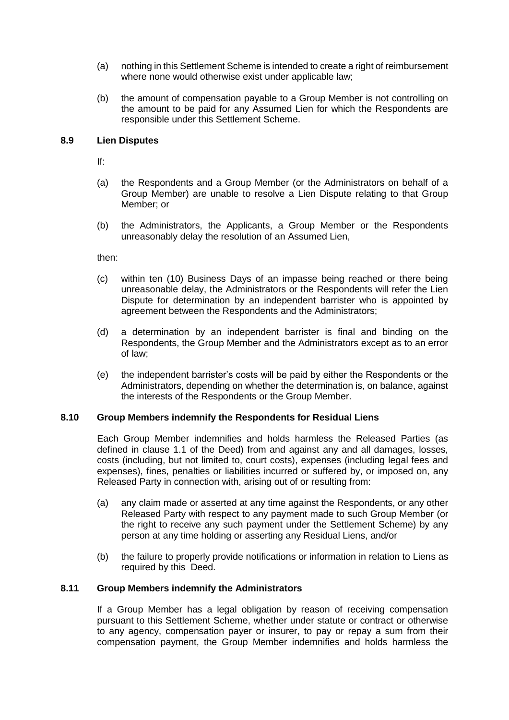- (a) nothing in this Settlement Scheme is intended to create a right of reimbursement where none would otherwise exist under applicable law;
- (b) the amount of compensation payable to a Group Member is not controlling on the amount to be paid for any Assumed Lien for which the Respondents are responsible under this Settlement Scheme.

## **8.9 Lien Disputes**

If:

- (a) the Respondents and a Group Member (or the Administrators on behalf of a Group Member) are unable to resolve a Lien Dispute relating to that Group Member; or
- (b) the Administrators, the Applicants, a Group Member or the Respondents unreasonably delay the resolution of an Assumed Lien,

then:

- (c) within ten (10) Business Days of an impasse being reached or there being unreasonable delay, the Administrators or the Respondents will refer the Lien Dispute for determination by an independent barrister who is appointed by agreement between the Respondents and the Administrators;
- (d) a determination by an independent barrister is final and binding on the Respondents, the Group Member and the Administrators except as to an error of law;
- (e) the independent barrister's costs will be paid by either the Respondents or the Administrators, depending on whether the determination is, on balance, against the interests of the Respondents or the Group Member.

## **8.10 Group Members indemnify the Respondents for Residual Liens**

Each Group Member indemnifies and holds harmless the Released Parties (as defined in clause 1.1 of the Deed) from and against any and all damages, losses, costs (including, but not limited to, court costs), expenses (including legal fees and expenses), fines, penalties or liabilities incurred or suffered by, or imposed on, any Released Party in connection with, arising out of or resulting from:

- (a) any claim made or asserted at any time against the Respondents, or any other Released Party with respect to any payment made to such Group Member (or the right to receive any such payment under the Settlement Scheme) by any person at any time holding or asserting any Residual Liens, and/or
- (b) the failure to properly provide notifications or information in relation to Liens as required by this Deed.

## **8.11 Group Members indemnify the Administrators**

If a Group Member has a legal obligation by reason of receiving compensation pursuant to this Settlement Scheme, whether under statute or contract or otherwise to any agency, compensation payer or insurer, to pay or repay a sum from their compensation payment, the Group Member indemnifies and holds harmless the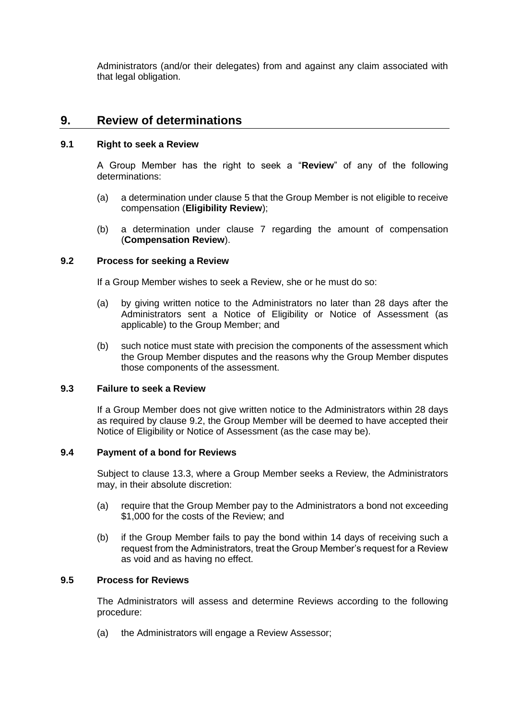Administrators (and/or their delegates) from and against any claim associated with that legal obligation.

## <span id="page-21-0"></span>**9. Review of determinations**

### <span id="page-21-4"></span>**9.1 Right to seek a Review**

A Group Member has the right to seek a "**Review**" of any of the following determinations:

- (a) a determination under clause [5](#page-7-0) that the Group Member is not eligible to receive compensation (**Eligibility Review**);
- (b) a determination under clause [7](#page-15-0) regarding the amount of compensation (**Compensation Review**).

## <span id="page-21-2"></span>**9.2 Process for seeking a Review**

If a Group Member wishes to seek a Review, she or he must do so:

- (a) by giving written notice to the Administrators no later than 28 days after the Administrators sent a Notice of Eligibility or Notice of Assessment (as applicable) to the Group Member; and
- (b) such notice must state with precision the components of the assessment which the Group Member disputes and the reasons why the Group Member disputes those components of the assessment.

## **9.3 Failure to seek a Review**

If a Group Member does not give written notice to the Administrators within 28 days as required by clause [9.2,](#page-21-2) the Group Member will be deemed to have accepted their Notice of Eligibility or Notice of Assessment (as the case may be).

## <span id="page-21-1"></span>**9.4 Payment of a bond for Reviews**

Subject to clause [13.3,](#page-30-1) where a Group Member seeks a Review, the Administrators may, in their absolute discretion:

- (a) require that the Group Member pay to the Administrators a bond not exceeding \$1,000 for the costs of the Review; and
- (b) if the Group Member fails to pay the bond within 14 days of receiving such a request from the Administrators, treat the Group Member's request for a Review as void and as having no effect.

## <span id="page-21-3"></span>**9.5 Process for Reviews**

The Administrators will assess and determine Reviews according to the following procedure:

<span id="page-21-5"></span>(a) the Administrators will engage a Review Assessor;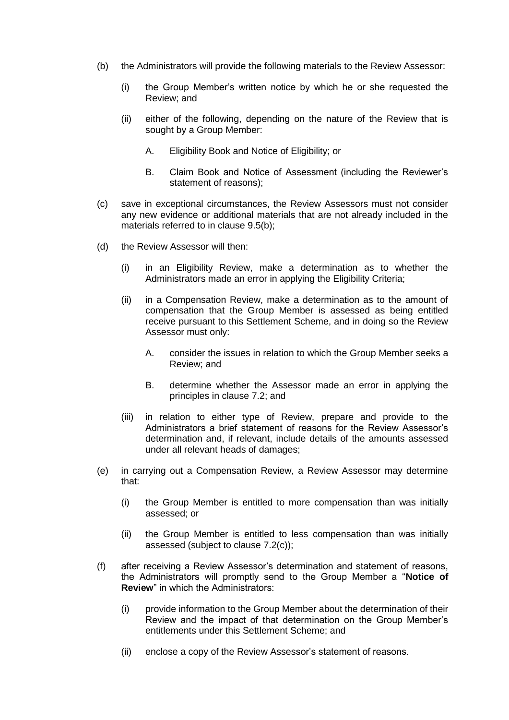- (b) the Administrators will provide the following materials to the Review Assessor:
	- (i) the Group Member's written notice by which he or she requested the Review; and
	- (ii) either of the following, depending on the nature of the Review that is sought by a Group Member:
		- A. Eligibility Book and Notice of Eligibility; or
		- B. Claim Book and Notice of Assessment (including the Reviewer's statement of reasons);
- (c) save in exceptional circumstances, the Review Assessors must not consider any new evidence or additional materials that are not already included in the materials referred to in clause [9.5\(b\);](#page-21-3)
- (d) the Review Assessor will then:
	- (i) in an Eligibility Review, make a determination as to whether the Administrators made an error in applying the Eligibility Criteria;
	- (ii) in a Compensation Review, make a determination as to the amount of compensation that the Group Member is assessed as being entitled receive pursuant to this Settlement Scheme, and in doing so the Review Assessor must only:
		- A. consider the issues in relation to which the Group Member seeks a Review; and
		- B. determine whether the Assessor made an error in applying the principles in clause [7.2;](#page-15-4) and
	- (iii) in relation to either type of Review, prepare and provide to the Administrators a brief statement of reasons for the Review Assessor's determination and, if relevant, include details of the amounts assessed under all relevant heads of damages;
- (e) in carrying out a Compensation Review, a Review Assessor may determine that:
	- (i) the Group Member is entitled to more compensation than was initially assessed; or
	- (ii) the Group Member is entitled to less compensation than was initially assessed (subject to clause [7.2\(c\)\)](#page-15-1);
- <span id="page-22-0"></span>(f) after receiving a Review Assessor's determination and statement of reasons, the Administrators will promptly send to the Group Member a "**Notice of Review**" in which the Administrators:
	- (i) provide information to the Group Member about the determination of their Review and the impact of that determination on the Group Member's entitlements under this Settlement Scheme; and
	- (ii) enclose a copy of the Review Assessor's statement of reasons.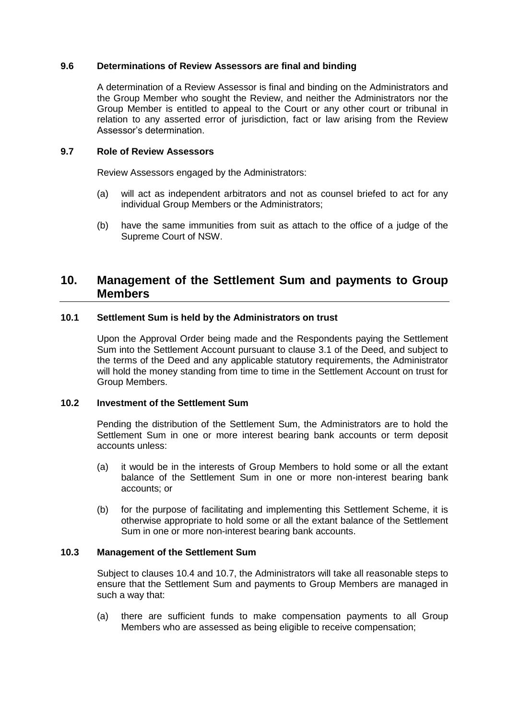### **9.6 Determinations of Review Assessors are final and binding**

A determination of a Review Assessor is final and binding on the Administrators and the Group Member who sought the Review, and neither the Administrators nor the Group Member is entitled to appeal to the Court or any other court or tribunal in relation to any asserted error of jurisdiction, fact or law arising from the Review Assessor's determination.

#### **9.7 Role of Review Assessors**

Review Assessors engaged by the Administrators:

- (a) will act as independent arbitrators and not as counsel briefed to act for any individual Group Members or the Administrators;
- (b) have the same immunities from suit as attach to the office of a judge of the Supreme Court of NSW.

## **10. Management of the Settlement Sum and payments to Group Members**

#### **10.1 Settlement Sum is held by the Administrators on trust**

Upon the Approval Order being made and the Respondents paying the Settlement Sum into the Settlement Account pursuant to clause 3.1 of the Deed, and subject to the terms of the Deed and any applicable statutory requirements, the Administrator will hold the money standing from time to time in the Settlement Account on trust for Group Members.

#### **10.2 Investment of the Settlement Sum**

Pending the distribution of the Settlement Sum, the Administrators are to hold the Settlement Sum in one or more interest bearing bank accounts or term deposit accounts unless:

- (a) it would be in the interests of Group Members to hold some or all the extant balance of the Settlement Sum in one or more non-interest bearing bank accounts; or
- (b) for the purpose of facilitating and implementing this Settlement Scheme, it is otherwise appropriate to hold some or all the extant balance of the Settlement Sum in one or more non-interest bearing bank accounts.

#### <span id="page-23-0"></span>**10.3 Management of the Settlement Sum**

Subject to clauses [10.4](#page-24-0) and [10.7,](#page-25-3) the Administrators will take all reasonable steps to ensure that the Settlement Sum and payments to Group Members are managed in such a way that:

(a) there are sufficient funds to make compensation payments to all Group Members who are assessed as being eligible to receive compensation;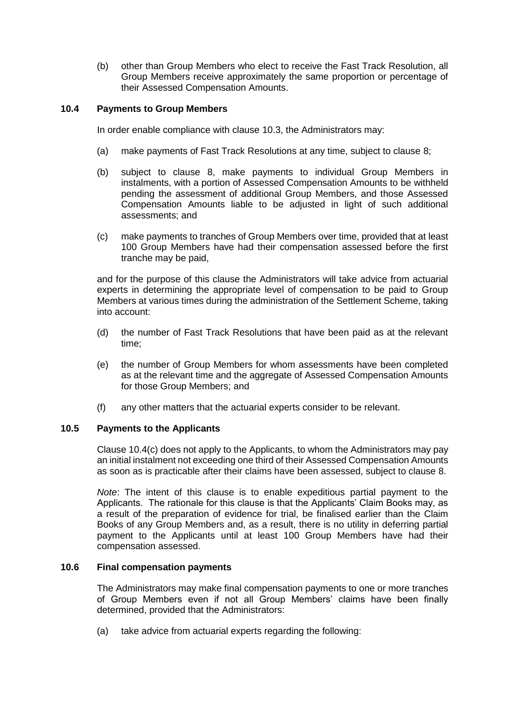(b) other than Group Members who elect to receive the Fast Track Resolution, all Group Members receive approximately the same proportion or percentage of their Assessed Compensation Amounts.

## <span id="page-24-0"></span>**10.4 Payments to Group Members**

In order enable compliance with clause [10.3,](#page-23-0) the Administrators may:

- (a) make payments of Fast Track Resolutions at any time, subject to clause [8;](#page-18-0)
- (b) subject to clause [8,](#page-18-0) make payments to individual Group Members in instalments, with a portion of Assessed Compensation Amounts to be withheld pending the assessment of additional Group Members, and those Assessed Compensation Amounts liable to be adjusted in light of such additional assessments; and
- <span id="page-24-1"></span>(c) make payments to tranches of Group Members over time, provided that at least 100 Group Members have had their compensation assessed before the first tranche may be paid,

and for the purpose of this clause the Administrators will take advice from actuarial experts in determining the appropriate level of compensation to be paid to Group Members at various times during the administration of the Settlement Scheme, taking into account:

- (d) the number of Fast Track Resolutions that have been paid as at the relevant time;
- (e) the number of Group Members for whom assessments have been completed as at the relevant time and the aggregate of Assessed Compensation Amounts for those Group Members; and
- (f) any other matters that the actuarial experts consider to be relevant.

## **10.5 Payments to the Applicants**

Clause [10.4\(c\)](#page-24-1) does not apply to the Applicants, to whom the Administrators may pay an initial instalment not exceeding one third of their Assessed Compensation Amounts as soon as is practicable after their claims have been assessed, subject to clause [8.](#page-18-0)

*Note*: The intent of this clause is to enable expeditious partial payment to the Applicants. The rationale for this clause is that the Applicants' Claim Books may, as a result of the preparation of evidence for trial, be finalised earlier than the Claim Books of any Group Members and, as a result, there is no utility in deferring partial payment to the Applicants until at least 100 Group Members have had their compensation assessed.

## **10.6 Final compensation payments**

The Administrators may make final compensation payments to one or more tranches of Group Members even if not all Group Members' claims have been finally determined, provided that the Administrators:

(a) take advice from actuarial experts regarding the following: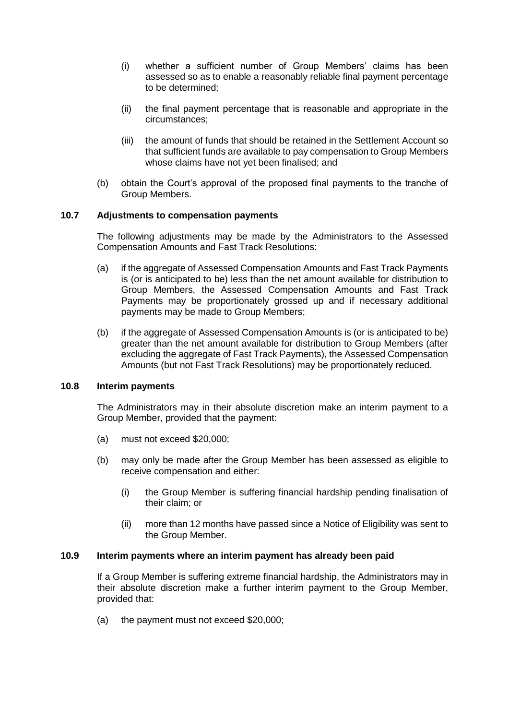- (i) whether a sufficient number of Group Members' claims has been assessed so as to enable a reasonably reliable final payment percentage to be determined;
- (ii) the final payment percentage that is reasonable and appropriate in the circumstances;
- (iii) the amount of funds that should be retained in the Settlement Account so that sufficient funds are available to pay compensation to Group Members whose claims have not yet been finalised; and
- (b) obtain the Court's approval of the proposed final payments to the tranche of Group Members.

## <span id="page-25-3"></span>**10.7 Adjustments to compensation payments**

The following adjustments may be made by the Administrators to the Assessed Compensation Amounts and Fast Track Resolutions:

- <span id="page-25-1"></span>(a) if the aggregate of Assessed Compensation Amounts and Fast Track Payments is (or is anticipated to be) less than the net amount available for distribution to Group Members, the Assessed Compensation Amounts and Fast Track Payments may be proportionately grossed up and if necessary additional payments may be made to Group Members;
- <span id="page-25-2"></span>(b) if the aggregate of Assessed Compensation Amounts is (or is anticipated to be) greater than the net amount available for distribution to Group Members (after excluding the aggregate of Fast Track Payments), the Assessed Compensation Amounts (but not Fast Track Resolutions) may be proportionately reduced.

#### <span id="page-25-0"></span>**10.8 Interim payments**

The Administrators may in their absolute discretion make an interim payment to a Group Member, provided that the payment:

- (a) must not exceed \$20,000;
- (b) may only be made after the Group Member has been assessed as eligible to receive compensation and either:
	- (i) the Group Member is suffering financial hardship pending finalisation of their claim; or
	- (ii) more than 12 months have passed since a Notice of Eligibility was sent to the Group Member.

#### **10.9 Interim payments where an interim payment has already been paid**

If a Group Member is suffering extreme financial hardship, the Administrators may in their absolute discretion make a further interim payment to the Group Member, provided that:

(a) the payment must not exceed \$20,000;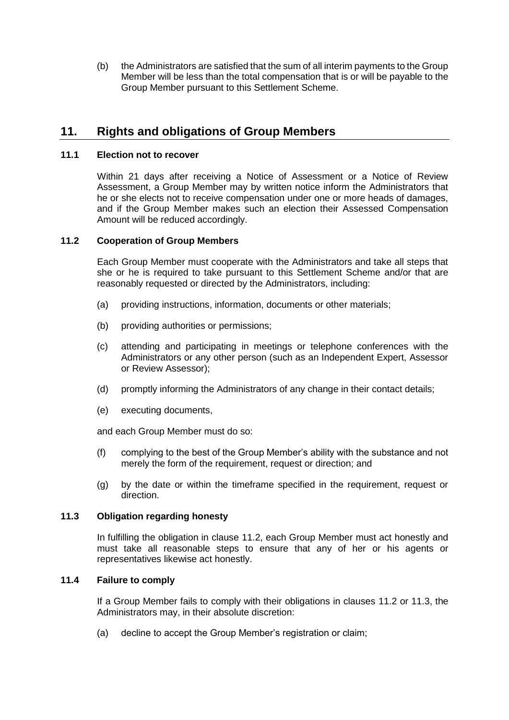(b) the Administrators are satisfied that the sum of all interim payments to the Group Member will be less than the total compensation that is or will be payable to the Group Member pursuant to this Settlement Scheme.

## **11. Rights and obligations of Group Members**

## <span id="page-26-3"></span>**11.1 Election not to recover**

Within 21 days after receiving a Notice of Assessment or a Notice of Review Assessment, a Group Member may by written notice inform the Administrators that he or she elects not to receive compensation under one or more heads of damages, and if the Group Member makes such an election their Assessed Compensation Amount will be reduced accordingly.

## <span id="page-26-1"></span>**11.2 Cooperation of Group Members**

Each Group Member must cooperate with the Administrators and take all steps that she or he is required to take pursuant to this Settlement Scheme and/or that are reasonably requested or directed by the Administrators, including:

- (a) providing instructions, information, documents or other materials;
- (b) providing authorities or permissions;
- (c) attending and participating in meetings or telephone conferences with the Administrators or any other person (such as an Independent Expert, Assessor or Review Assessor);
- (d) promptly informing the Administrators of any change in their contact details;
- (e) executing documents,

and each Group Member must do so:

- (f) complying to the best of the Group Member's ability with the substance and not merely the form of the requirement, request or direction; and
- (g) by the date or within the timeframe specified in the requirement, request or direction.

## <span id="page-26-2"></span>**11.3 Obligation regarding honesty**

In fulfilling the obligation in clause [11.2,](#page-26-1) each Group Member must act honestly and must take all reasonable steps to ensure that any of her or his agents or representatives likewise act honestly.

## <span id="page-26-0"></span>**11.4 Failure to comply**

If a Group Member fails to comply with their obligations in clauses [11.2](#page-26-1) or [11.3,](#page-26-2) the Administrators may, in their absolute discretion:

(a) decline to accept the Group Member's registration or claim;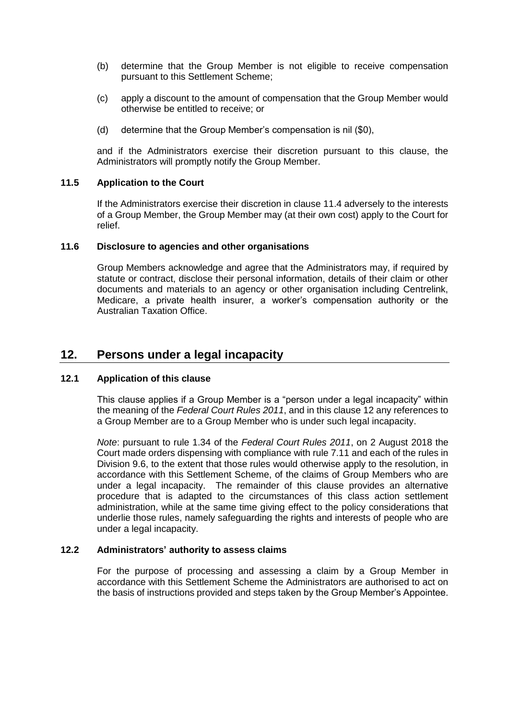- <span id="page-27-0"></span>(b) determine that the Group Member is not eligible to receive compensation pursuant to this Settlement Scheme;
- (c) apply a discount to the amount of compensation that the Group Member would otherwise be entitled to receive; or
- (d) determine that the Group Member's compensation is nil (\$0),

and if the Administrators exercise their discretion pursuant to this clause, the Administrators will promptly notify the Group Member.

## **11.5 Application to the Court**

If the Administrators exercise their discretion in clause [11.4](#page-26-0) adversely to the interests of a Group Member, the Group Member may (at their own cost) apply to the Court for relief.

## **11.6 Disclosure to agencies and other organisations**

Group Members acknowledge and agree that the Administrators may, if required by statute or contract, disclose their personal information, details of their claim or other documents and materials to an agency or other organisation including Centrelink, Medicare, a private health insurer, a worker's compensation authority or the Australian Taxation Office.

## **12. Persons under a legal incapacity**

## **12.1 Application of this clause**

This clause applies if a Group Member is a "person under a legal incapacity" within the meaning of the *Federal Court Rules 2011*, and in this clause 12 any references to a Group Member are to a Group Member who is under such legal incapacity.

*Note*: pursuant to rule 1.34 of the *Federal Court Rules 2011*, on 2 August 2018 the Court made orders dispensing with compliance with rule 7.11 and each of the rules in Division 9.6, to the extent that those rules would otherwise apply to the resolution, in accordance with this Settlement Scheme, of the claims of Group Members who are under a legal incapacity. The remainder of this clause provides an alternative procedure that is adapted to the circumstances of this class action settlement administration, while at the same time giving effect to the policy considerations that underlie those rules, namely safeguarding the rights and interests of people who are under a legal incapacity.

#### <span id="page-27-1"></span>**12.2 Administrators' authority to assess claims**

For the purpose of processing and assessing a claim by a Group Member in accordance with this Settlement Scheme the Administrators are authorised to act on the basis of instructions provided and steps taken by the Group Member's Appointee.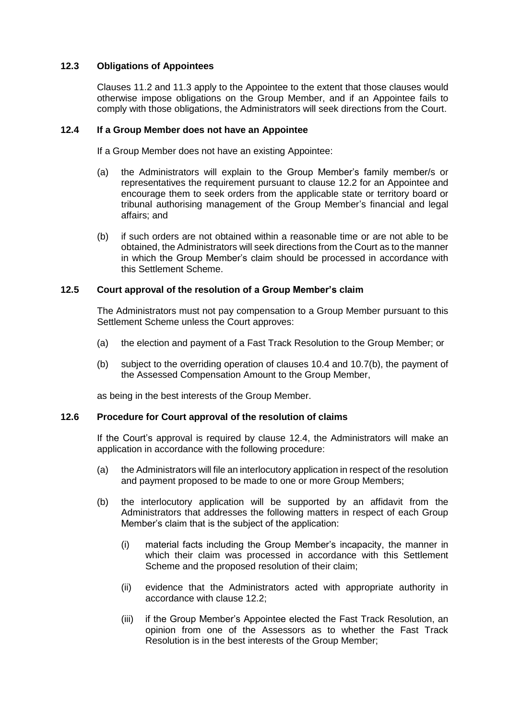## **12.3 Obligations of Appointees**

Clauses 11.2 and 11.3 apply to the Appointee to the extent that those clauses would otherwise impose obligations on the Group Member, and if an Appointee fails to comply with those obligations, the Administrators will seek directions from the Court.

## **12.4 If a Group Member does not have an Appointee**

If a Group Member does not have an existing Appointee:

- (a) the Administrators will explain to the Group Member's family member/s or representatives the requirement pursuant to clause [12.2](#page-27-1) for an Appointee and encourage them to seek orders from the applicable state or territory board or tribunal authorising management of the Group Member's financial and legal affairs; and
- (b) if such orders are not obtained within a reasonable time or are not able to be obtained, the Administrators will seek directions from the Court as to the manner in which the Group Member's claim should be processed in accordance with this Settlement Scheme.

## **12.5 Court approval of the resolution of a Group Member's claim**

The Administrators must not pay compensation to a Group Member pursuant to this Settlement Scheme unless the Court approves:

- (a) the election and payment of a Fast Track Resolution to the Group Member; or
- (b) subject to the overriding operation of clauses 10.4 and 10.7(b), the payment of the Assessed Compensation Amount to the Group Member,

as being in the best interests of the Group Member.

#### **12.6 Procedure for Court approval of the resolution of claims**

If the Court's approval is required by clause 12.4, the Administrators will make an application in accordance with the following procedure:

- (a) the Administrators will file an interlocutory application in respect of the resolution and payment proposed to be made to one or more Group Members;
- (b) the interlocutory application will be supported by an affidavit from the Administrators that addresses the following matters in respect of each Group Member's claim that is the subject of the application:
	- (i) material facts including the Group Member's incapacity, the manner in which their claim was processed in accordance with this Settlement Scheme and the proposed resolution of their claim;
	- (ii) evidence that the Administrators acted with appropriate authority in accordance with clause [12.2;](#page-27-1)
	- (iii) if the Group Member's Appointee elected the Fast Track Resolution, an opinion from one of the Assessors as to whether the Fast Track Resolution is in the best interests of the Group Member;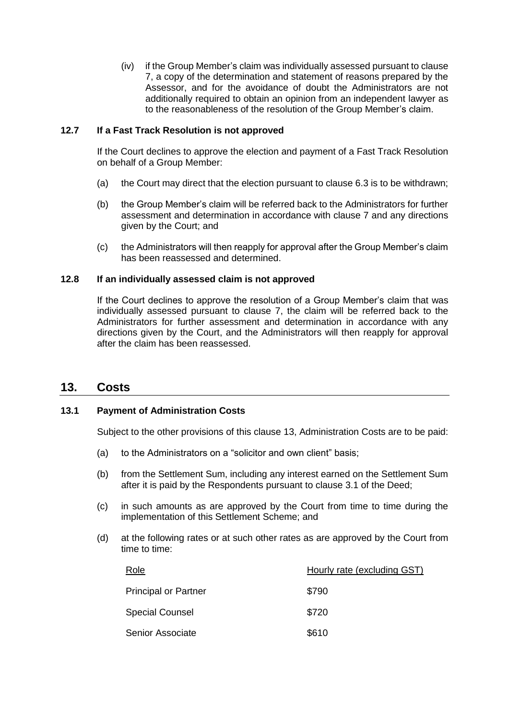(iv) if the Group Member's claim was individually assessed pursuant to clause 7, a copy of the determination and statement of reasons prepared by the Assessor, and for the avoidance of doubt the Administrators are not additionally required to obtain an opinion from an independent lawyer as to the reasonableness of the resolution of the Group Member's claim.

## **12.7 If a Fast Track Resolution is not approved**

If the Court declines to approve the election and payment of a Fast Track Resolution on behalf of a Group Member:

- (a) the Court may direct that the election pursuant to clause 6.3 is to be withdrawn;
- (b) the Group Member's claim will be referred back to the Administrators for further assessment and determination in accordance with clause 7 and any directions given by the Court; and
- (c) the Administrators will then reapply for approval after the Group Member's claim has been reassessed and determined.

## **12.8 If an individually assessed claim is not approved**

If the Court declines to approve the resolution of a Group Member's claim that was individually assessed pursuant to clause 7, the claim will be referred back to the Administrators for further assessment and determination in accordance with any directions given by the Court, and the Administrators will then reapply for approval after the claim has been reassessed.

## <span id="page-29-1"></span>**13. Costs**

## <span id="page-29-0"></span>**13.1 Payment of Administration Costs**

Subject to the other provisions of this clause [13,](#page-29-1) Administration Costs are to be paid:

- (a) to the Administrators on a "solicitor and own client" basis;
- (b) from the Settlement Sum, including any interest earned on the Settlement Sum after it is paid by the Respondents pursuant to clause 3.1 of the Deed;
- (c) in such amounts as are approved by the Court from time to time during the implementation of this Settlement Scheme; and
- (d) at the following rates or at such other rates as are approved by the Court from time to time:

| Role                        | Hourly rate (excluding GST) |
|-----------------------------|-----------------------------|
| <b>Principal or Partner</b> | \$790                       |
| <b>Special Counsel</b>      | \$720                       |
| <b>Senior Associate</b>     | \$610                       |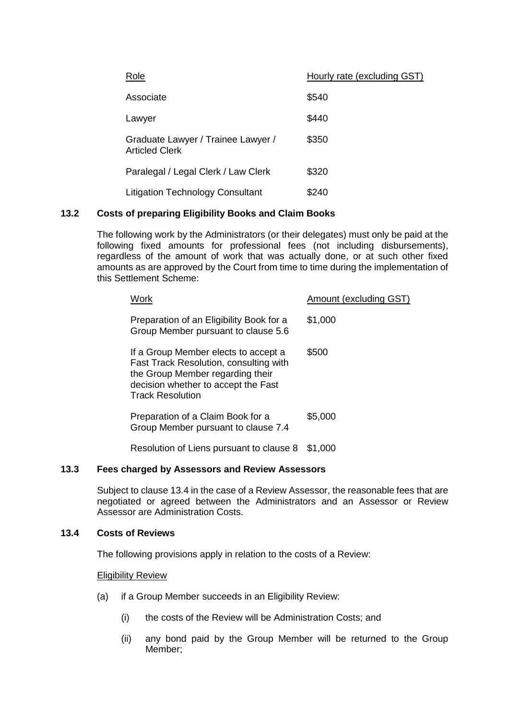| Role                                                        | Hourly rate (excluding GST) |
|-------------------------------------------------------------|-----------------------------|
| Associate                                                   | \$540                       |
| Lawyer                                                      | \$440                       |
| Graduate Lawyer / Trainee Lawyer /<br><b>Articled Clerk</b> | \$350                       |
| Paralegal / Legal Clerk / Law Clerk                         | \$320                       |
| <b>Litigation Technology Consultant</b>                     | \$240                       |

## <span id="page-30-0"></span>**13.2 Costs of preparing Eligibility Books and Claim Books**

The following work by the Administrators (or their delegates) must only be paid at the following fixed amounts for professional fees (not including disbursements), regardless of the amount of work that was actually done, or at such other fixed amounts as are approved by the Court from time to time during the implementation of this Settlement Scheme:

| Work                                                                                                                                                                                 | Amount (excluding GST) |
|--------------------------------------------------------------------------------------------------------------------------------------------------------------------------------------|------------------------|
| Preparation of an Eligibility Book for a<br>Group Member pursuant to clause 5.6                                                                                                      | \$1,000                |
| If a Group Member elects to accept a<br>Fast Track Resolution, consulting with<br>the Group Member regarding their<br>decision whether to accept the Fast<br><b>Track Resolution</b> | \$500                  |
| Preparation of a Claim Book for a<br>Group Member pursuant to clause 7.4                                                                                                             | \$5,000                |
|                                                                                                                                                                                      |                        |

Resolution of Liens pursuant to clause [8](#page-18-0) \$1,000

## <span id="page-30-1"></span>**13.3 Fees charged by Assessors and Review Assessors**

Subject to clause [13.4](#page-30-2) in the case of a Review Assessor, the reasonable fees that are negotiated or agreed between the Administrators and an Assessor or Review Assessor are Administration Costs.

## <span id="page-30-2"></span>**13.4 Costs of Reviews**

The following provisions apply in relation to the costs of a Review:

Eligibility Review

- (a) if a Group Member succeeds in an Eligibility Review:
	- (i) the costs of the Review will be Administration Costs; and
	- (ii) any bond paid by the Group Member will be returned to the Group Member;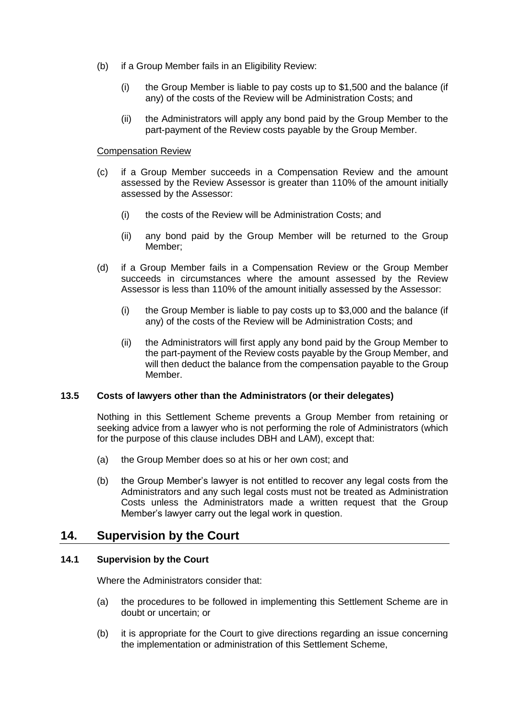- (b) if a Group Member fails in an Eligibility Review:
	- (i) the Group Member is liable to pay costs up to \$1,500 and the balance (if any) of the costs of the Review will be Administration Costs; and
	- (ii) the Administrators will apply any bond paid by the Group Member to the part-payment of the Review costs payable by the Group Member.

#### Compensation Review

- (c) if a Group Member succeeds in a Compensation Review and the amount assessed by the Review Assessor is greater than 110% of the amount initially assessed by the Assessor:
	- (i) the costs of the Review will be Administration Costs; and
	- (ii) any bond paid by the Group Member will be returned to the Group Member;
- (d) if a Group Member fails in a Compensation Review or the Group Member succeeds in circumstances where the amount assessed by the Review Assessor is less than 110% of the amount initially assessed by the Assessor:
	- (i) the Group Member is liable to pay costs up to \$3,000 and the balance (if any) of the costs of the Review will be Administration Costs; and
	- (ii) the Administrators will first apply any bond paid by the Group Member to the part-payment of the Review costs payable by the Group Member, and will then deduct the balance from the compensation payable to the Group Member.

#### **13.5 Costs of lawyers other than the Administrators (or their delegates)**

Nothing in this Settlement Scheme prevents a Group Member from retaining or seeking advice from a lawyer who is not performing the role of Administrators (which for the purpose of this clause includes DBH and LAM), except that:

- (a) the Group Member does so at his or her own cost; and
- (b) the Group Member's lawyer is not entitled to recover any legal costs from the Administrators and any such legal costs must not be treated as Administration Costs unless the Administrators made a written request that the Group Member's lawyer carry out the legal work in question.

## **14. Supervision by the Court**

## **14.1 Supervision by the Court**

Where the Administrators consider that:

- (a) the procedures to be followed in implementing this Settlement Scheme are in doubt or uncertain; or
- (b) it is appropriate for the Court to give directions regarding an issue concerning the implementation or administration of this Settlement Scheme,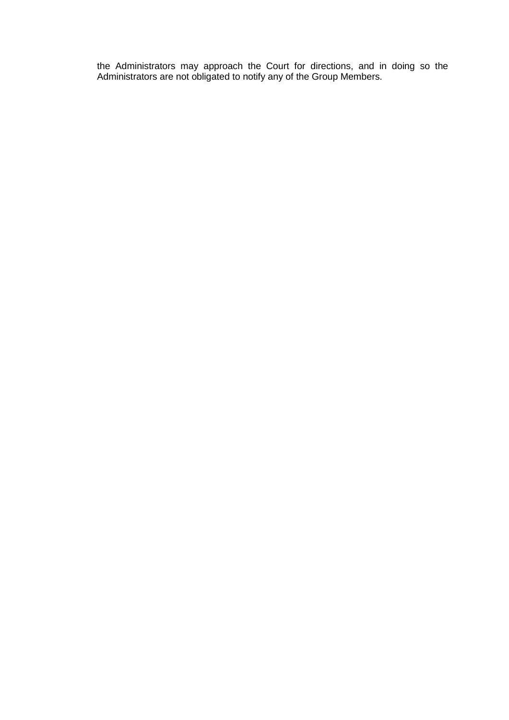the Administrators may approach the Court for directions, and in doing so the Administrators are not obligated to notify any of the Group Members.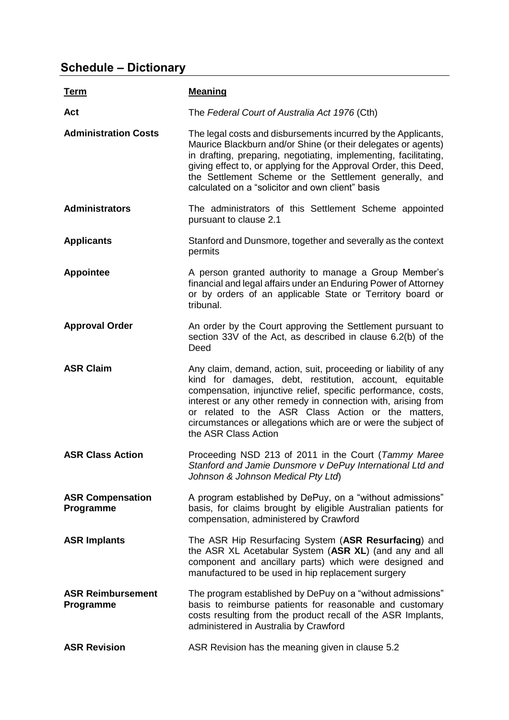# **Schedule – Dictionary**

| <u>Term</u>                           | <b>Meaning</b>                                                                                                                                                                                                                                                                                                                                                                                              |
|---------------------------------------|-------------------------------------------------------------------------------------------------------------------------------------------------------------------------------------------------------------------------------------------------------------------------------------------------------------------------------------------------------------------------------------------------------------|
| Act                                   | The Federal Court of Australia Act 1976 (Cth)                                                                                                                                                                                                                                                                                                                                                               |
| <b>Administration Costs</b>           | The legal costs and disbursements incurred by the Applicants,<br>Maurice Blackburn and/or Shine (or their delegates or agents)<br>in drafting, preparing, negotiating, implementing, facilitating,<br>giving effect to, or applying for the Approval Order, this Deed,<br>the Settlement Scheme or the Settlement generally, and<br>calculated on a "solicitor and own client" basis                        |
| <b>Administrators</b>                 | The administrators of this Settlement Scheme appointed<br>pursuant to clause 2.1                                                                                                                                                                                                                                                                                                                            |
| <b>Applicants</b>                     | Stanford and Dunsmore, together and severally as the context<br>permits                                                                                                                                                                                                                                                                                                                                     |
| <b>Appointee</b>                      | A person granted authority to manage a Group Member's<br>financial and legal affairs under an Enduring Power of Attorney<br>or by orders of an applicable State or Territory board or<br>tribunal.                                                                                                                                                                                                          |
| <b>Approval Order</b>                 | An order by the Court approving the Settlement pursuant to<br>section 33V of the Act, as described in clause 6.2(b) of the<br>Deed                                                                                                                                                                                                                                                                          |
| <b>ASR Claim</b>                      | Any claim, demand, action, suit, proceeding or liability of any<br>kind for damages, debt, restitution, account, equitable<br>compensation, injunctive relief, specific performance, costs,<br>interest or any other remedy in connection with, arising from<br>or related to the ASR Class Action or the matters,<br>circumstances or allegations which are or were the subject of<br>the ASR Class Action |
| <b>ASR Class Action</b>               | Proceeding NSD 213 of 2011 in the Court (Tammy Maree<br>Stanford and Jamie Dunsmore v DePuy International Ltd and<br>Johnson & Johnson Medical Pty Ltd)                                                                                                                                                                                                                                                     |
| <b>ASR Compensation</b><br>Programme  | A program established by DePuy, on a "without admissions"<br>basis, for claims brought by eligible Australian patients for<br>compensation, administered by Crawford                                                                                                                                                                                                                                        |
| <b>ASR Implants</b>                   | The ASR Hip Resurfacing System (ASR Resurfacing) and<br>the ASR XL Acetabular System (ASR XL) (and any and all<br>component and ancillary parts) which were designed and<br>manufactured to be used in hip replacement surgery                                                                                                                                                                              |
| <b>ASR Reimbursement</b><br>Programme | The program established by DePuy on a "without admissions"<br>basis to reimburse patients for reasonable and customary<br>costs resulting from the product recall of the ASR Implants,<br>administered in Australia by Crawford                                                                                                                                                                             |
| <b>ASR Revision</b>                   | ASR Revision has the meaning given in clause 5.2                                                                                                                                                                                                                                                                                                                                                            |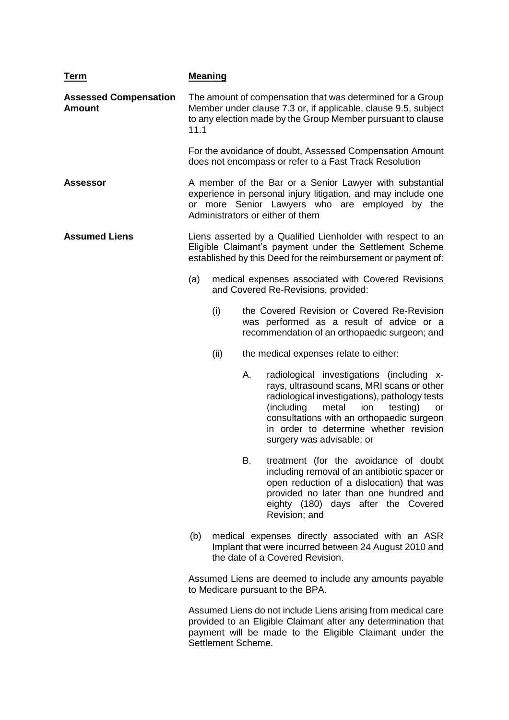| <b>Term</b>                                   | <b>Meaning</b>                                                                                                                                                                                      |      |    |                                                                                                                                                                                                                                                                                                                     |  |
|-----------------------------------------------|-----------------------------------------------------------------------------------------------------------------------------------------------------------------------------------------------------|------|----|---------------------------------------------------------------------------------------------------------------------------------------------------------------------------------------------------------------------------------------------------------------------------------------------------------------------|--|
| <b>Assessed Compensation</b><br><b>Amount</b> | The amount of compensation that was determined for a Group<br>Member under clause 7.3 or, if applicable, clause 9.5, subject<br>to any election made by the Group Member pursuant to clause<br>11.1 |      |    |                                                                                                                                                                                                                                                                                                                     |  |
|                                               |                                                                                                                                                                                                     |      |    | For the avoidance of doubt, Assessed Compensation Amount<br>does not encompass or refer to a Fast Track Resolution                                                                                                                                                                                                  |  |
| <b>Assessor</b>                               |                                                                                                                                                                                                     |      |    | A member of the Bar or a Senior Lawyer with substantial<br>experience in personal injury litigation, and may include one<br>or more Senior Lawyers who are employed by the<br>Administrators or either of them                                                                                                      |  |
| <b>Assumed Liens</b>                          |                                                                                                                                                                                                     |      |    | Liens asserted by a Qualified Lienholder with respect to an<br>Eligible Claimant's payment under the Settlement Scheme<br>established by this Deed for the reimbursement or payment of:                                                                                                                             |  |
|                                               | (a)<br>medical expenses associated with Covered Revisions<br>and Covered Re-Revisions, provided:                                                                                                    |      |    |                                                                                                                                                                                                                                                                                                                     |  |
|                                               |                                                                                                                                                                                                     | (i)  |    | the Covered Revision or Covered Re-Revision<br>was performed as a result of advice or a<br>recommendation of an orthopaedic surgeon; and                                                                                                                                                                            |  |
|                                               |                                                                                                                                                                                                     | (ii) |    | the medical expenses relate to either:                                                                                                                                                                                                                                                                              |  |
|                                               |                                                                                                                                                                                                     |      | Α. | radiological investigations (including x-<br>rays, ultrasound scans, MRI scans or other<br>radiological investigations), pathology tests<br>(including<br>metal<br>testing)<br>ion<br><b>or</b><br>consultations with an orthopaedic surgeon<br>in order to determine whether revision<br>surgery was advisable; or |  |
|                                               |                                                                                                                                                                                                     |      | В. | treatment (for the avoidance of doubt<br>including removal of an antibiotic spacer or<br>open reduction of a dislocation) that was<br>provided no later than one hundred and<br>eighty (180) days after the Covered<br>Revision; and                                                                                |  |
|                                               | (b)                                                                                                                                                                                                 |      |    | medical expenses directly associated with an ASR<br>Implant that were incurred between 24 August 2010 and<br>the date of a Covered Revision.                                                                                                                                                                        |  |
|                                               |                                                                                                                                                                                                     |      |    | Assumed Liens are deemed to include any amounts payable<br>to Medicare pursuant to the BPA.                                                                                                                                                                                                                         |  |
|                                               |                                                                                                                                                                                                     |      |    | Assumed Liens do not include Liens arising from medical care                                                                                                                                                                                                                                                        |  |

Assumed Liens do not include Liens arising from medical care provided to an Eligible Claimant after any determination that payment will be made to the Eligible Claimant under the Settlement Scheme.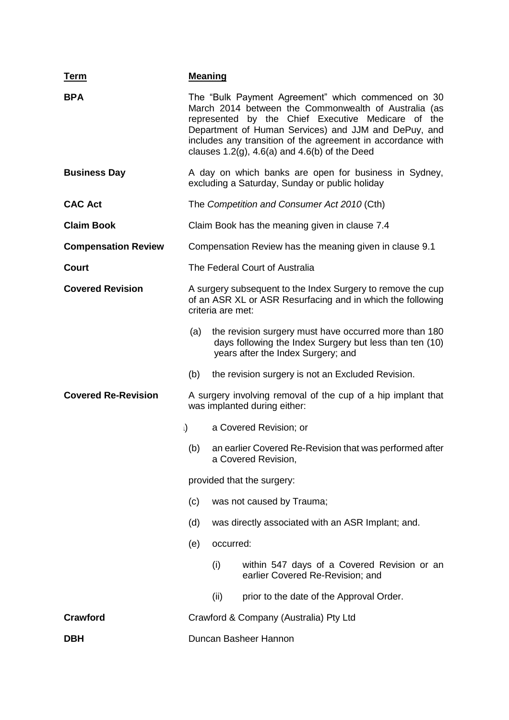| Term                       | <b>Meaning</b>                                                                                                                                 |           |                                                                                                                                                                                                                                                                                                                                                 |  |
|----------------------------|------------------------------------------------------------------------------------------------------------------------------------------------|-----------|-------------------------------------------------------------------------------------------------------------------------------------------------------------------------------------------------------------------------------------------------------------------------------------------------------------------------------------------------|--|
| <b>BPA</b>                 |                                                                                                                                                |           | The "Bulk Payment Agreement" which commenced on 30<br>March 2014 between the Commonwealth of Australia (as<br>represented by the Chief Executive Medicare of the<br>Department of Human Services) and JJM and DePuy, and<br>includes any transition of the agreement in accordance with<br>clauses $1.2(g)$ , $4.6(a)$ and $4.6(b)$ of the Deed |  |
| <b>Business Day</b>        | A day on which banks are open for business in Sydney,<br>excluding a Saturday, Sunday or public holiday                                        |           |                                                                                                                                                                                                                                                                                                                                                 |  |
| <b>CAC Act</b>             |                                                                                                                                                |           | The Competition and Consumer Act 2010 (Cth)                                                                                                                                                                                                                                                                                                     |  |
| <b>Claim Book</b>          |                                                                                                                                                |           | Claim Book has the meaning given in clause 7.4                                                                                                                                                                                                                                                                                                  |  |
| <b>Compensation Review</b> | Compensation Review has the meaning given in clause 9.1                                                                                        |           |                                                                                                                                                                                                                                                                                                                                                 |  |
| Court                      |                                                                                                                                                |           | The Federal Court of Australia                                                                                                                                                                                                                                                                                                                  |  |
| <b>Covered Revision</b>    | A surgery subsequent to the Index Surgery to remove the cup<br>of an ASR XL or ASR Resurfacing and in which the following<br>criteria are met: |           |                                                                                                                                                                                                                                                                                                                                                 |  |
|                            | (a)                                                                                                                                            |           | the revision surgery must have occurred more than 180<br>days following the Index Surgery but less than ten (10)<br>years after the Index Surgery; and                                                                                                                                                                                          |  |
|                            | (b)                                                                                                                                            |           | the revision surgery is not an Excluded Revision.                                                                                                                                                                                                                                                                                               |  |
| <b>Covered Re-Revision</b> | A surgery involving removal of the cup of a hip implant that<br>was implanted during either:                                                   |           |                                                                                                                                                                                                                                                                                                                                                 |  |
| $\mathbf{I}$               |                                                                                                                                                |           | a Covered Revision; or                                                                                                                                                                                                                                                                                                                          |  |
|                            | (b)                                                                                                                                            |           | an earlier Covered Re-Revision that was performed after<br>a Covered Revision,                                                                                                                                                                                                                                                                  |  |
|                            |                                                                                                                                                |           | provided that the surgery:                                                                                                                                                                                                                                                                                                                      |  |
|                            | (c)                                                                                                                                            |           | was not caused by Trauma;                                                                                                                                                                                                                                                                                                                       |  |
|                            | (d)                                                                                                                                            |           | was directly associated with an ASR Implant; and.                                                                                                                                                                                                                                                                                               |  |
|                            | (e)                                                                                                                                            | occurred: |                                                                                                                                                                                                                                                                                                                                                 |  |
|                            |                                                                                                                                                | (i)       | within 547 days of a Covered Revision or an<br>earlier Covered Re-Revision; and                                                                                                                                                                                                                                                                 |  |
|                            |                                                                                                                                                | (ii)      | prior to the date of the Approval Order.                                                                                                                                                                                                                                                                                                        |  |
| <b>Crawford</b>            | Crawford & Company (Australia) Pty Ltd                                                                                                         |           |                                                                                                                                                                                                                                                                                                                                                 |  |
| DBH                        | Duncan Basheer Hannon                                                                                                                          |           |                                                                                                                                                                                                                                                                                                                                                 |  |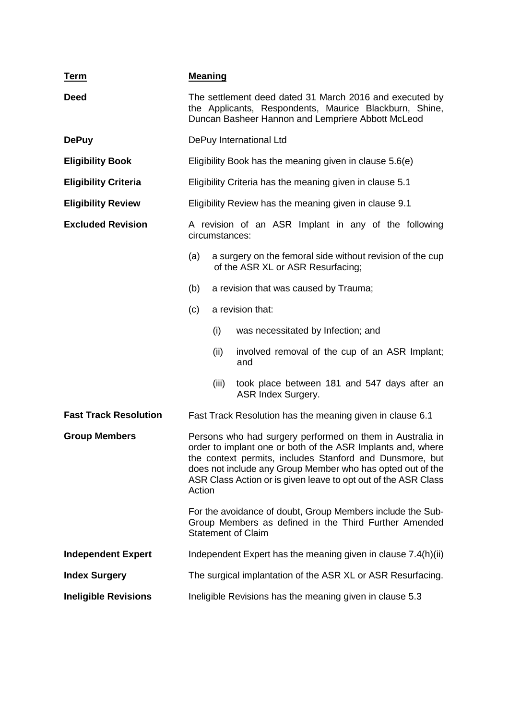| <u>Term</u>                  | <b>Meaning</b>                                                                                                                                                                                                                                                                                                                                                                                                                                                                     |       |                                                                                                |
|------------------------------|------------------------------------------------------------------------------------------------------------------------------------------------------------------------------------------------------------------------------------------------------------------------------------------------------------------------------------------------------------------------------------------------------------------------------------------------------------------------------------|-------|------------------------------------------------------------------------------------------------|
| <b>Deed</b>                  | The settlement deed dated 31 March 2016 and executed by<br>the Applicants, Respondents, Maurice Blackburn, Shine,<br>Duncan Basheer Hannon and Lempriere Abbott McLeod                                                                                                                                                                                                                                                                                                             |       |                                                                                                |
| <b>DePuy</b>                 |                                                                                                                                                                                                                                                                                                                                                                                                                                                                                    |       | DePuy International Ltd                                                                        |
| <b>Eligibility Book</b>      |                                                                                                                                                                                                                                                                                                                                                                                                                                                                                    |       | Eligibility Book has the meaning given in clause 5.6(e)                                        |
| <b>Eligibility Criteria</b>  |                                                                                                                                                                                                                                                                                                                                                                                                                                                                                    |       | Eligibility Criteria has the meaning given in clause 5.1                                       |
| <b>Eligibility Review</b>    |                                                                                                                                                                                                                                                                                                                                                                                                                                                                                    |       | Eligibility Review has the meaning given in clause 9.1                                         |
| <b>Excluded Revision</b>     | A revision of an ASR Implant in any of the following<br>circumstances:                                                                                                                                                                                                                                                                                                                                                                                                             |       |                                                                                                |
|                              | (a)                                                                                                                                                                                                                                                                                                                                                                                                                                                                                |       | a surgery on the femoral side without revision of the cup<br>of the ASR XL or ASR Resurfacing; |
|                              | (b)                                                                                                                                                                                                                                                                                                                                                                                                                                                                                |       | a revision that was caused by Trauma;                                                          |
|                              | a revision that:<br>(c)                                                                                                                                                                                                                                                                                                                                                                                                                                                            |       |                                                                                                |
|                              |                                                                                                                                                                                                                                                                                                                                                                                                                                                                                    | (i)   | was necessitated by Infection; and                                                             |
|                              |                                                                                                                                                                                                                                                                                                                                                                                                                                                                                    | (ii)  | involved removal of the cup of an ASR Implant;<br>and                                          |
|                              |                                                                                                                                                                                                                                                                                                                                                                                                                                                                                    | (iii) | took place between 181 and 547 days after an<br>ASR Index Surgery.                             |
| <b>Fast Track Resolution</b> | Fast Track Resolution has the meaning given in clause 6.1                                                                                                                                                                                                                                                                                                                                                                                                                          |       |                                                                                                |
| <b>Group Members</b>         | Persons who had surgery performed on them in Australia in<br>order to implant one or both of the ASR Implants and, where<br>the context permits, includes Stanford and Dunsmore, but<br>does not include any Group Member who has opted out of the<br>ASR Class Action or is given leave to opt out of the ASR Class<br>Action<br>For the avoidance of doubt, Group Members include the Sub-<br>Group Members as defined in the Third Further Amended<br><b>Statement of Claim</b> |       |                                                                                                |
|                              |                                                                                                                                                                                                                                                                                                                                                                                                                                                                                    |       |                                                                                                |
| <b>Independent Expert</b>    | Independent Expert has the meaning given in clause 7.4(h)(ii)                                                                                                                                                                                                                                                                                                                                                                                                                      |       |                                                                                                |
| <b>Index Surgery</b>         | The surgical implantation of the ASR XL or ASR Resurfacing.                                                                                                                                                                                                                                                                                                                                                                                                                        |       |                                                                                                |
| <b>Ineligible Revisions</b>  | Ineligible Revisions has the meaning given in clause 5.3                                                                                                                                                                                                                                                                                                                                                                                                                           |       |                                                                                                |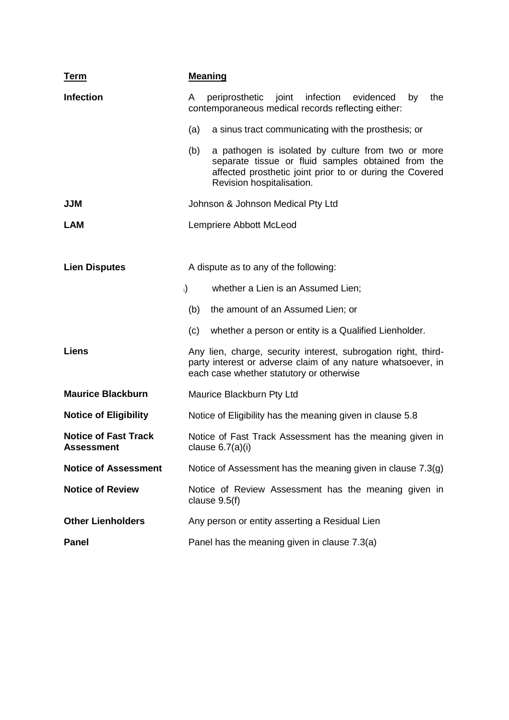| <b>Term</b>                                      | <b>Meaning</b>                                                                                                                                                                                           |  |  |  |  |
|--------------------------------------------------|----------------------------------------------------------------------------------------------------------------------------------------------------------------------------------------------------------|--|--|--|--|
| <b>Infection</b>                                 | periprosthetic joint infection<br>evidenced<br>the<br>A<br>by<br>contemporaneous medical records reflecting either:                                                                                      |  |  |  |  |
|                                                  | a sinus tract communicating with the prosthesis; or<br>(a)                                                                                                                                               |  |  |  |  |
|                                                  | (b)<br>a pathogen is isolated by culture from two or more<br>separate tissue or fluid samples obtained from the<br>affected prosthetic joint prior to or during the Covered<br>Revision hospitalisation. |  |  |  |  |
| <b>JJM</b>                                       | Johnson & Johnson Medical Pty Ltd                                                                                                                                                                        |  |  |  |  |
| <b>LAM</b>                                       | Lempriere Abbott McLeod                                                                                                                                                                                  |  |  |  |  |
|                                                  |                                                                                                                                                                                                          |  |  |  |  |
| <b>Lien Disputes</b>                             | A dispute as to any of the following:                                                                                                                                                                    |  |  |  |  |
|                                                  | $\mathbf{I}$<br>whether a Lien is an Assumed Lien;                                                                                                                                                       |  |  |  |  |
|                                                  | the amount of an Assumed Lien; or<br>(b)                                                                                                                                                                 |  |  |  |  |
|                                                  | whether a person or entity is a Qualified Lienholder.<br>(c)                                                                                                                                             |  |  |  |  |
| <b>Liens</b>                                     | Any lien, charge, security interest, subrogation right, third-<br>party interest or adverse claim of any nature whatsoever, in<br>each case whether statutory or otherwise                               |  |  |  |  |
| <b>Maurice Blackburn</b>                         | Maurice Blackburn Pty Ltd                                                                                                                                                                                |  |  |  |  |
| <b>Notice of Eligibility</b>                     | Notice of Eligibility has the meaning given in clause 5.8                                                                                                                                                |  |  |  |  |
| <b>Notice of Fast Track</b><br><b>Assessment</b> | Notice of Fast Track Assessment has the meaning given in<br>clause $6.7(a)(i)$                                                                                                                           |  |  |  |  |
| <b>Notice of Assessment</b>                      | Notice of Assessment has the meaning given in clause 7.3(g)                                                                                                                                              |  |  |  |  |
| <b>Notice of Review</b>                          | Notice of Review Assessment has the meaning given in<br>clause $9.5(f)$                                                                                                                                  |  |  |  |  |
| <b>Other Lienholders</b>                         | Any person or entity asserting a Residual Lien                                                                                                                                                           |  |  |  |  |
| <b>Panel</b>                                     | Panel has the meaning given in clause 7.3(a)                                                                                                                                                             |  |  |  |  |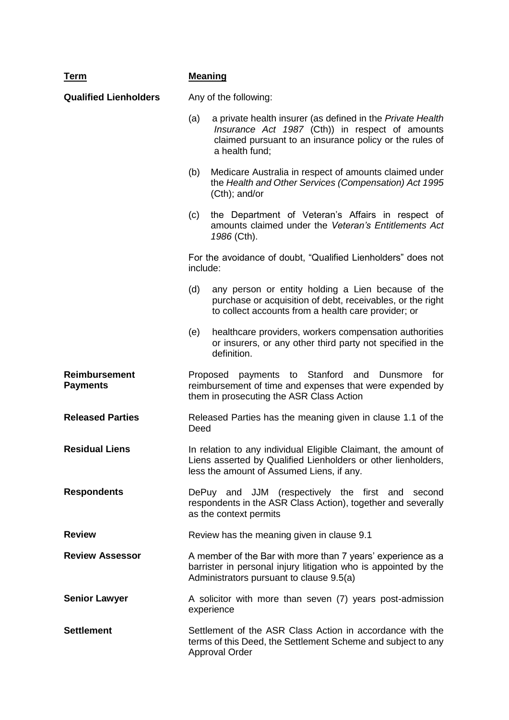| <b>Term</b>                             | <b>Meaning</b>                                                                                                                                                               |                                                                                                                                                                                            |  |  |
|-----------------------------------------|------------------------------------------------------------------------------------------------------------------------------------------------------------------------------|--------------------------------------------------------------------------------------------------------------------------------------------------------------------------------------------|--|--|
| <b>Qualified Lienholders</b>            |                                                                                                                                                                              | Any of the following:                                                                                                                                                                      |  |  |
|                                         | (a)                                                                                                                                                                          | a private health insurer (as defined in the Private Health<br>Insurance Act 1987 (Cth)) in respect of amounts<br>claimed pursuant to an insurance policy or the rules of<br>a health fund; |  |  |
|                                         | (b)                                                                                                                                                                          | Medicare Australia in respect of amounts claimed under<br>the Health and Other Services (Compensation) Act 1995<br>(Cth); and/or                                                           |  |  |
|                                         | (c)                                                                                                                                                                          | the Department of Veteran's Affairs in respect of<br>amounts claimed under the Veteran's Entitlements Act<br>1986 (Cth).                                                                   |  |  |
|                                         | include:                                                                                                                                                                     | For the avoidance of doubt, "Qualified Lienholders" does not                                                                                                                               |  |  |
|                                         | (d)                                                                                                                                                                          | any person or entity holding a Lien because of the<br>purchase or acquisition of debt, receivables, or the right<br>to collect accounts from a health care provider; or                    |  |  |
|                                         | (e)                                                                                                                                                                          | healthcare providers, workers compensation authorities<br>or insurers, or any other third party not specified in the<br>definition.                                                        |  |  |
| <b>Reimbursement</b><br><b>Payments</b> | payments to Stanford<br>Proposed<br>and<br>Dunsmore<br>for<br>reimbursement of time and expenses that were expended by<br>them in prosecuting the ASR Class Action           |                                                                                                                                                                                            |  |  |
| <b>Released Parties</b>                 | Released Parties has the meaning given in clause 1.1 of the<br>Deed                                                                                                          |                                                                                                                                                                                            |  |  |
| <b>Residual Liens</b>                   | In relation to any individual Eligible Claimant, the amount of<br>Liens asserted by Qualified Lienholders or other lienholders,<br>less the amount of Assumed Liens, if any. |                                                                                                                                                                                            |  |  |
| <b>Respondents</b>                      | DePuy and JJM (respectively the first and second<br>respondents in the ASR Class Action), together and severally<br>as the context permits                                   |                                                                                                                                                                                            |  |  |
| <b>Review</b>                           | Review has the meaning given in clause 9.1                                                                                                                                   |                                                                                                                                                                                            |  |  |
| <b>Review Assessor</b>                  | A member of the Bar with more than 7 years' experience as a<br>barrister in personal injury litigation who is appointed by the<br>Administrators pursuant to clause 9.5(a)   |                                                                                                                                                                                            |  |  |
| <b>Senior Lawyer</b>                    | A solicitor with more than seven (7) years post-admission<br>experience                                                                                                      |                                                                                                                                                                                            |  |  |
| <b>Settlement</b>                       | Settlement of the ASR Class Action in accordance with the<br>terms of this Deed, the Settlement Scheme and subject to any<br><b>Approval Order</b>                           |                                                                                                                                                                                            |  |  |